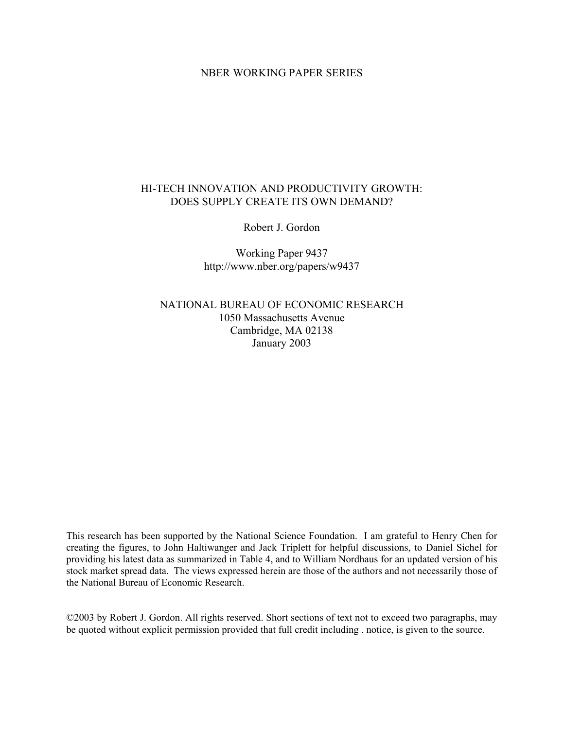# NBER WORKING PAPER SERIES

# HI-TECH INNOVATION AND PRODUCTIVITY GROWTH: DOES SUPPLY CREATE ITS OWN DEMAND?

Robert J. Gordon

Working Paper 9437 http://www.nber.org/papers/w9437

NATIONAL BUREAU OF ECONOMIC RESEARCH 1050 Massachusetts Avenue Cambridge, MA 02138 January 2003

This research has been supported by the National Science Foundation. I am grateful to Henry Chen for creating the figures, to John Haltiwanger and Jack Triplett for helpful discussions, to Daniel Sichel for providing his latest data as summarized in Table 4, and to William Nordhaus for an updated version of his stock market spread data. The views expressed herein are those of the authors and not necessarily those of the National Bureau of Economic Research.

©2003 by Robert J. Gordon. All rights reserved. Short sections of text not to exceed two paragraphs, may be quoted without explicit permission provided that full credit including . notice, is given to the source.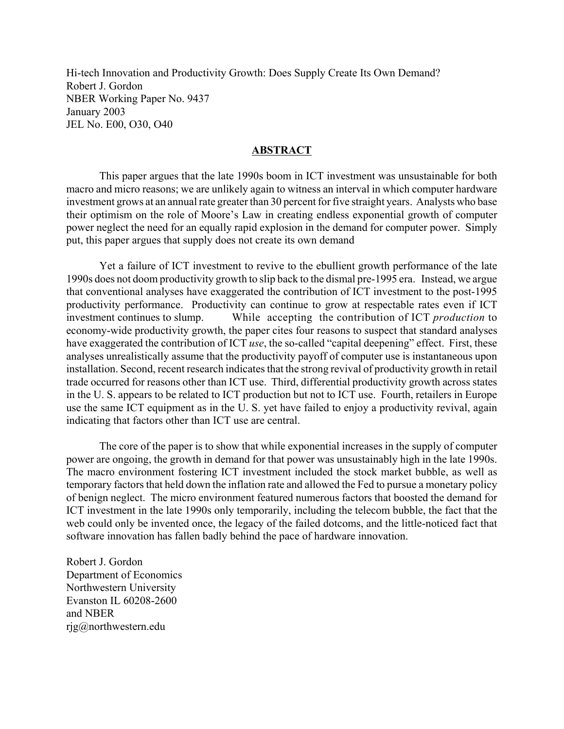Hi-tech Innovation and Productivity Growth: Does Supply Create Its Own Demand? Robert J. Gordon NBER Working Paper No. 9437 January 2003 JEL No. E00, O30, O40

# **ABSTRACT**

This paper argues that the late 1990s boom in ICT investment was unsustainable for both macro and micro reasons; we are unlikely again to witness an interval in which computer hardware investment grows at an annual rate greater than 30 percent for five straight years. Analysts who base their optimism on the role of Moore's Law in creating endless exponential growth of computer power neglect the need for an equally rapid explosion in the demand for computer power. Simply put, this paper argues that supply does not create its own demand

Yet a failure of ICT investment to revive to the ebullient growth performance of the late 1990s does not doom productivity growth to slip back to the dismal pre-1995 era. Instead, we argue that conventional analyses have exaggerated the contribution of ICT investment to the post-1995 productivity performance. Productivity can continue to grow at respectable rates even if ICT investment continues to slump. While accepting the contribution of ICT *production* to economy-wide productivity growth, the paper cites four reasons to suspect that standard analyses have exaggerated the contribution of ICT *use*, the so-called "capital deepening" effect. First, these analyses unrealistically assume that the productivity payoff of computer use is instantaneous upon installation. Second, recent research indicates that the strong revival of productivity growth in retail trade occurred for reasons other than ICT use. Third, differential productivity growth across states in the U. S. appears to be related to ICT production but not to ICT use. Fourth, retailers in Europe use the same ICT equipment as in the U. S. yet have failed to enjoy a productivity revival, again indicating that factors other than ICT use are central.

The core of the paper is to show that while exponential increases in the supply of computer power are ongoing, the growth in demand for that power was unsustainably high in the late 1990s. The macro environment fostering ICT investment included the stock market bubble, as well as temporary factors that held down the inflation rate and allowed the Fed to pursue a monetary policy of benign neglect. The micro environment featured numerous factors that boosted the demand for ICT investment in the late 1990s only temporarily, including the telecom bubble, the fact that the web could only be invented once, the legacy of the failed dotcoms, and the little-noticed fact that software innovation has fallen badly behind the pace of hardware innovation.

Robert J. Gordon Department of Economics Northwestern University Evanston IL 60208-2600 and NBER rjg@northwestern.edu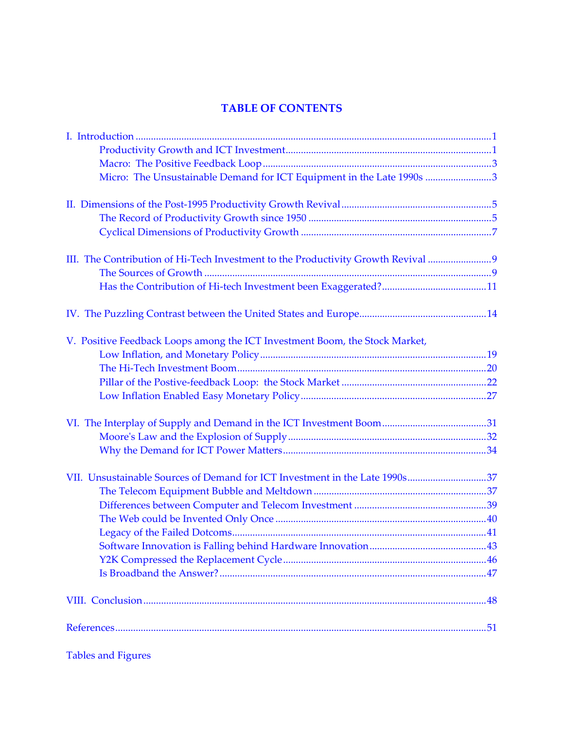# **TABLE OF CONTENTS**

| Micro: The Unsustainable Demand for ICT Equipment in the Late 1990s 3          |  |
|--------------------------------------------------------------------------------|--|
|                                                                                |  |
|                                                                                |  |
|                                                                                |  |
|                                                                                |  |
|                                                                                |  |
| III. The Contribution of Hi-Tech Investment to the Productivity Growth Revival |  |
|                                                                                |  |
|                                                                                |  |
|                                                                                |  |
| V. Positive Feedback Loops among the ICT Investment Boom, the Stock Market,    |  |
|                                                                                |  |
|                                                                                |  |
|                                                                                |  |
|                                                                                |  |
|                                                                                |  |
|                                                                                |  |
|                                                                                |  |
|                                                                                |  |
|                                                                                |  |
| VII. Unsustainable Sources of Demand for ICT Investment in the Late 1990s37    |  |
|                                                                                |  |
|                                                                                |  |
|                                                                                |  |
|                                                                                |  |
|                                                                                |  |
|                                                                                |  |
|                                                                                |  |
|                                                                                |  |
|                                                                                |  |
|                                                                                |  |

Tables and Figures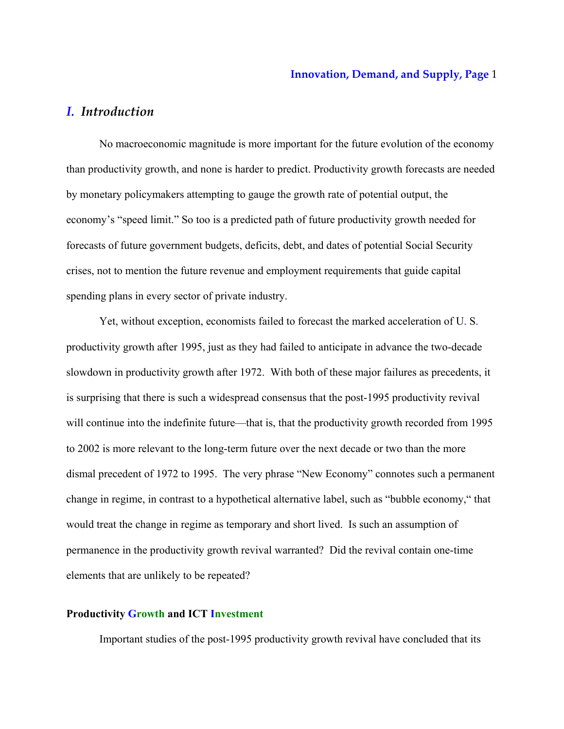# *I. Introduction*

No macroeconomic magnitude is more important for the future evolution of the economy than productivity growth, and none is harder to predict. Productivity growth forecasts are needed by monetary policymakers attempting to gauge the growth rate of potential output, the economy's "speed limit." So too is a predicted path of future productivity growth needed for forecasts of future government budgets, deficits, debt, and dates of potential Social Security crises, not to mention the future revenue and employment requirements that guide capital spending plans in every sector of private industry.

Yet, without exception, economists failed to forecast the marked acceleration of U. S. productivity growth after 1995, just as they had failed to anticipate in advance the two-decade slowdown in productivity growth after 1972. With both of these major failures as precedents, it is surprising that there is such a widespread consensus that the post-1995 productivity revival will continue into the indefinite future—that is, that the productivity growth recorded from 1995 to 2002 is more relevant to the long-term future over the next decade or two than the more dismal precedent of 1972 to 1995. The very phrase "New Economy" connotes such a permanent change in regime, in contrast to a hypothetical alternative label, such as "bubble economy," that would treat the change in regime as temporary and short lived. Is such an assumption of permanence in the productivity growth revival warranted? Did the revival contain one-time elements that are unlikely to be repeated?

# **Productivity Growth and ICT Investment**

Important studies of the post-1995 productivity growth revival have concluded that its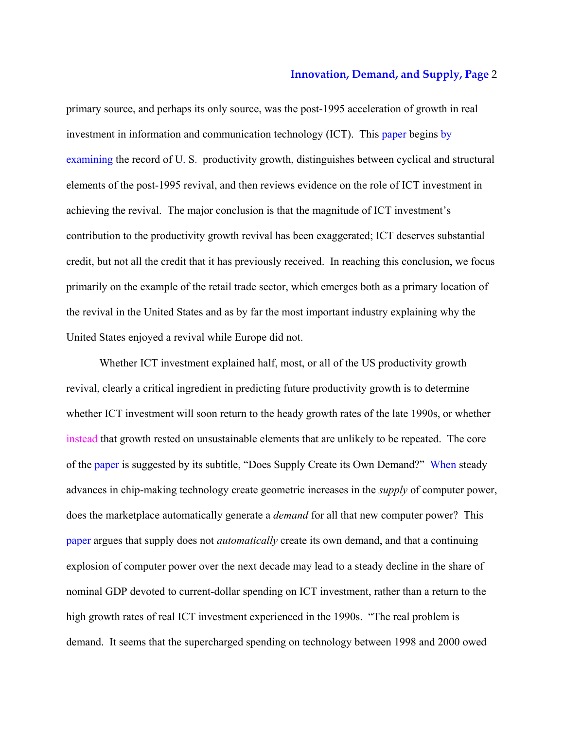primary source, and perhaps its only source, was the post-1995 acceleration of growth in real investment in information and communication technology (ICT). This paper begins by examining the record of U. S. productivity growth, distinguishes between cyclical and structural elements of the post-1995 revival, and then reviews evidence on the role of ICT investment in achieving the revival. The major conclusion is that the magnitude of ICT investment's contribution to the productivity growth revival has been exaggerated; ICT deserves substantial credit, but not all the credit that it has previously received. In reaching this conclusion, we focus primarily on the example of the retail trade sector, which emerges both as a primary location of the revival in the United States and as by far the most important industry explaining why the United States enjoyed a revival while Europe did not.

Whether ICT investment explained half, most, or all of the US productivity growth revival, clearly a critical ingredient in predicting future productivity growth is to determine whether ICT investment will soon return to the heady growth rates of the late 1990s, or whether instead that growth rested on unsustainable elements that are unlikely to be repeated. The core of the paper is suggested by its subtitle, "Does Supply Create its Own Demand?" When steady advances in chip-making technology create geometric increases in the *supply* of computer power, does the marketplace automatically generate a *demand* for all that new computer power? This paper argues that supply does not *automatically* create its own demand, and that a continuing explosion of computer power over the next decade may lead to a steady decline in the share of nominal GDP devoted to current-dollar spending on ICT investment, rather than a return to the high growth rates of real ICT investment experienced in the 1990s. "The real problem is demand. It seems that the supercharged spending on technology between 1998 and 2000 owed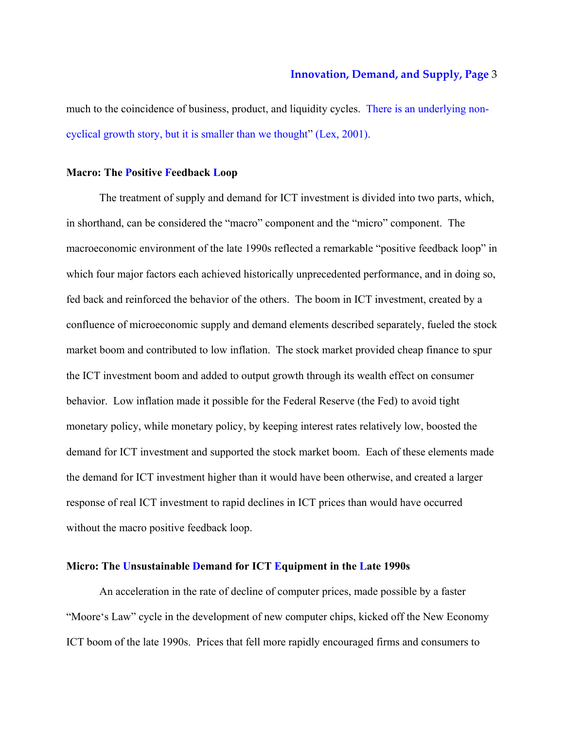much to the coincidence of business, product, and liquidity cycles. There is an underlying noncyclical growth story, but it is smaller than we thought" (Lex, 2001).

# **Macro: The Positive Feedback Loop**

The treatment of supply and demand for ICT investment is divided into two parts, which, in shorthand, can be considered the "macro" component and the "micro" component. The macroeconomic environment of the late 1990s reflected a remarkable "positive feedback loop" in which four major factors each achieved historically unprecedented performance, and in doing so, fed back and reinforced the behavior of the others. The boom in ICT investment, created by a confluence of microeconomic supply and demand elements described separately, fueled the stock market boom and contributed to low inflation. The stock market provided cheap finance to spur the ICT investment boom and added to output growth through its wealth effect on consumer behavior. Low inflation made it possible for the Federal Reserve (the Fed) to avoid tight monetary policy, while monetary policy, by keeping interest rates relatively low, boosted the demand for ICT investment and supported the stock market boom. Each of these elements made the demand for ICT investment higher than it would have been otherwise, and created a larger response of real ICT investment to rapid declines in ICT prices than would have occurred without the macro positive feedback loop.

#### **Micro: The Unsustainable Demand for ICT Equipment in the Late 1990s**

An acceleration in the rate of decline of computer prices, made possible by a faster "Moore's Law" cycle in the development of new computer chips, kicked off the New Economy ICT boom of the late 1990s. Prices that fell more rapidly encouraged firms and consumers to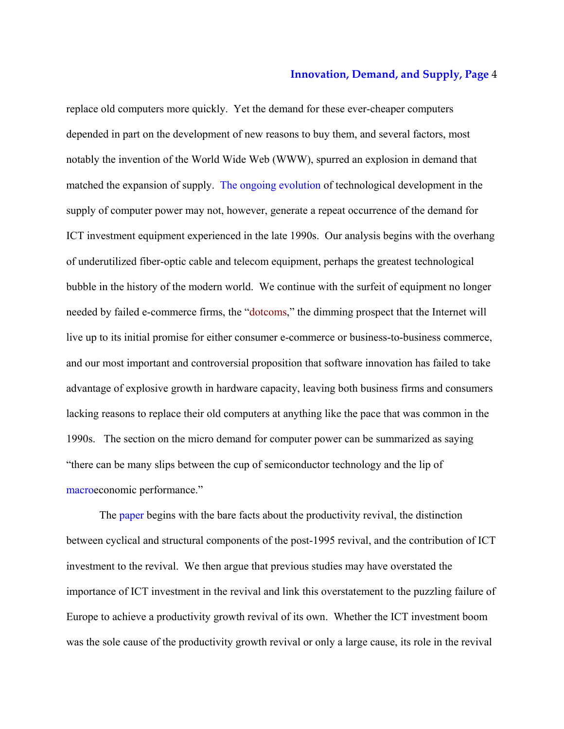replace old computers more quickly. Yet the demand for these ever-cheaper computers depended in part on the development of new reasons to buy them, and several factors, most notably the invention of the World Wide Web (WWW), spurred an explosion in demand that matched the expansion of supply. The ongoing evolution of technological development in the supply of computer power may not, however, generate a repeat occurrence of the demand for ICT investment equipment experienced in the late 1990s. Our analysis begins with the overhang of underutilized fiber-optic cable and telecom equipment, perhaps the greatest technological bubble in the history of the modern world. We continue with the surfeit of equipment no longer needed by failed e-commerce firms, the "dotcoms," the dimming prospect that the Internet will live up to its initial promise for either consumer e-commerce or business-to-business commerce, and our most important and controversial proposition that software innovation has failed to take advantage of explosive growth in hardware capacity, leaving both business firms and consumers lacking reasons to replace their old computers at anything like the pace that was common in the 1990s. The section on the micro demand for computer power can be summarized as saying "there can be many slips between the cup of semiconductor technology and the lip of macroeconomic performance."

The paper begins with the bare facts about the productivity revival, the distinction between cyclical and structural components of the post-1995 revival, and the contribution of ICT investment to the revival. We then argue that previous studies may have overstated the importance of ICT investment in the revival and link this overstatement to the puzzling failure of Europe to achieve a productivity growth revival of its own. Whether the ICT investment boom was the sole cause of the productivity growth revival or only a large cause, its role in the revival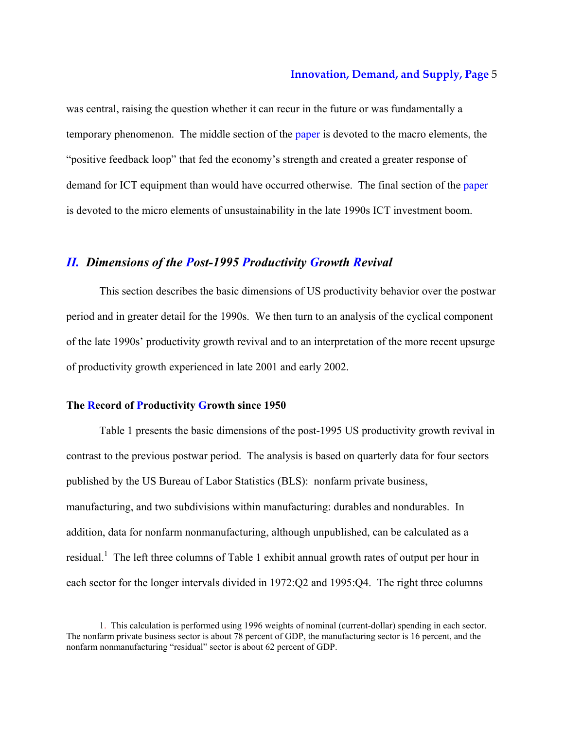was central, raising the question whether it can recur in the future or was fundamentally a temporary phenomenon. The middle section of the paper is devoted to the macro elements, the "positive feedback loop" that fed the economy's strength and created a greater response of demand for ICT equipment than would have occurred otherwise. The final section of the paper is devoted to the micro elements of unsustainability in the late 1990s ICT investment boom.

# *II. Dimensions of the Post-1995 Productivity Growth Revival*

This section describes the basic dimensions of US productivity behavior over the postwar period and in greater detail for the 1990s. We then turn to an analysis of the cyclical component of the late 1990s' productivity growth revival and to an interpretation of the more recent upsurge of productivity growth experienced in late 2001 and early 2002.

# **The Record of Productivity Growth since 1950**

-

Table 1 presents the basic dimensions of the post-1995 US productivity growth revival in contrast to the previous postwar period. The analysis is based on quarterly data for four sectors published by the US Bureau of Labor Statistics (BLS): nonfarm private business, manufacturing, and two subdivisions within manufacturing: durables and nondurables. In addition, data for nonfarm nonmanufacturing, although unpublished, can be calculated as a residual.<sup>1</sup> The left three columns of Table 1 exhibit annual growth rates of output per hour in each sector for the longer intervals divided in 1972:Q2 and 1995:Q4. The right three columns

<sup>1.</sup> This calculation is performed using 1996 weights of nominal (current-dollar) spending in each sector. The nonfarm private business sector is about 78 percent of GDP, the manufacturing sector is 16 percent, and the nonfarm nonmanufacturing "residual" sector is about 62 percent of GDP.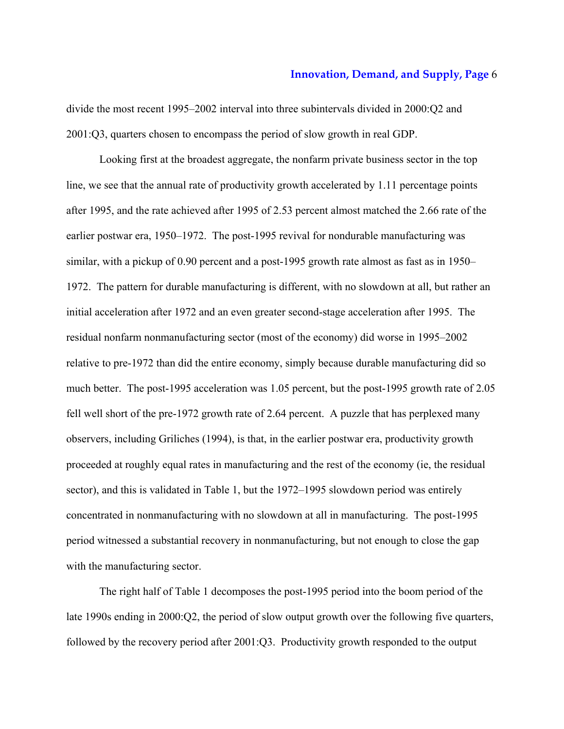divide the most recent 1995–2002 interval into three subintervals divided in 2000:Q2 and 2001:Q3, quarters chosen to encompass the period of slow growth in real GDP.

Looking first at the broadest aggregate, the nonfarm private business sector in the top line, we see that the annual rate of productivity growth accelerated by 1.11 percentage points after 1995, and the rate achieved after 1995 of 2.53 percent almost matched the 2.66 rate of the earlier postwar era, 1950–1972. The post-1995 revival for nondurable manufacturing was similar, with a pickup of 0.90 percent and a post-1995 growth rate almost as fast as in 1950– 1972. The pattern for durable manufacturing is different, with no slowdown at all, but rather an initial acceleration after 1972 and an even greater second-stage acceleration after 1995. The residual nonfarm nonmanufacturing sector (most of the economy) did worse in 1995–2002 relative to pre-1972 than did the entire economy, simply because durable manufacturing did so much better. The post-1995 acceleration was 1.05 percent, but the post-1995 growth rate of 2.05 fell well short of the pre-1972 growth rate of 2.64 percent. A puzzle that has perplexed many observers, including Griliches (1994), is that, in the earlier postwar era, productivity growth proceeded at roughly equal rates in manufacturing and the rest of the economy (ie, the residual sector), and this is validated in Table 1, but the 1972–1995 slowdown period was entirely concentrated in nonmanufacturing with no slowdown at all in manufacturing. The post-1995 period witnessed a substantial recovery in nonmanufacturing, but not enough to close the gap with the manufacturing sector.

The right half of Table 1 decomposes the post-1995 period into the boom period of the late 1990s ending in 2000:Q2, the period of slow output growth over the following five quarters, followed by the recovery period after 2001:Q3. Productivity growth responded to the output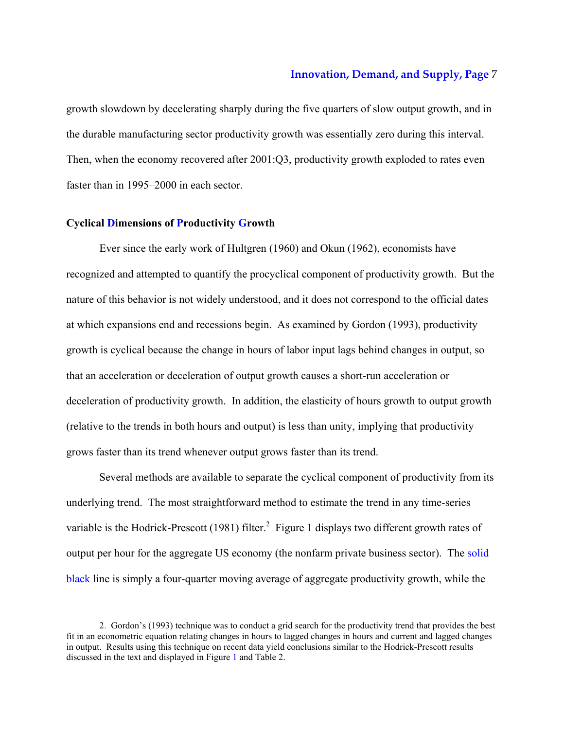growth slowdown by decelerating sharply during the five quarters of slow output growth, and in the durable manufacturing sector productivity growth was essentially zero during this interval. Then, when the economy recovered after 2001:Q3, productivity growth exploded to rates even faster than in 1995–2000 in each sector.

# **Cyclical Dimensions of Productivity Growth**

-

Ever since the early work of Hultgren (1960) and Okun (1962), economists have recognized and attempted to quantify the procyclical component of productivity growth. But the nature of this behavior is not widely understood, and it does not correspond to the official dates at which expansions end and recessions begin. As examined by Gordon (1993), productivity growth is cyclical because the change in hours of labor input lags behind changes in output, so that an acceleration or deceleration of output growth causes a short-run acceleration or deceleration of productivity growth. In addition, the elasticity of hours growth to output growth (relative to the trends in both hours and output) is less than unity, implying that productivity grows faster than its trend whenever output grows faster than its trend.

Several methods are available to separate the cyclical component of productivity from its underlying trend. The most straightforward method to estimate the trend in any time-series variable is the Hodrick-Prescott (1981) filter.<sup>2</sup> Figure 1 displays two different growth rates of output per hour for the aggregate US economy (the nonfarm private business sector). The solid black line is simply a four-quarter moving average of aggregate productivity growth, while the

<sup>2.</sup> Gordon's (1993) technique was to conduct a grid search for the productivity trend that provides the best fit in an econometric equation relating changes in hours to lagged changes in hours and current and lagged changes in output. Results using this technique on recent data yield conclusions similar to the Hodrick-Prescott results discussed in the text and displayed in Figure 1 and Table 2.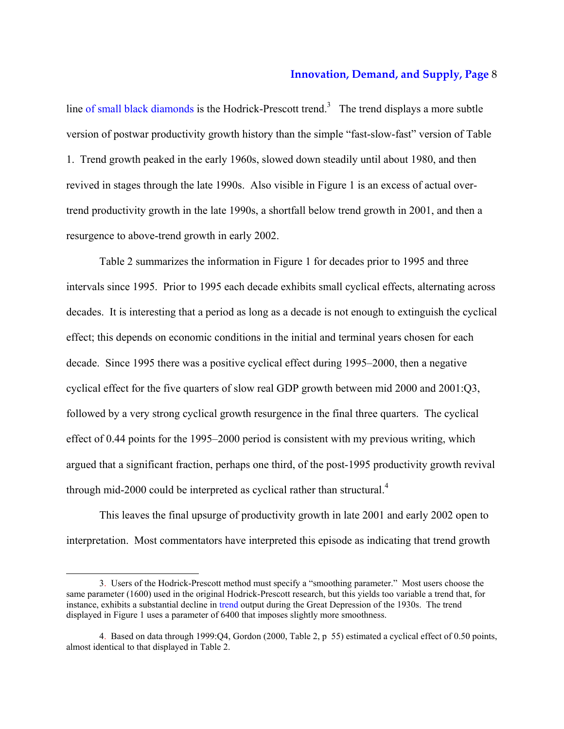line of small black diamonds is the Hodrick-Prescott trend.<sup>3</sup> The trend displays a more subtle version of postwar productivity growth history than the simple "fast-slow-fast" version of Table 1. Trend growth peaked in the early 1960s, slowed down steadily until about 1980, and then revived in stages through the late 1990s. Also visible in Figure 1 is an excess of actual overtrend productivity growth in the late 1990s, a shortfall below trend growth in 2001, and then a resurgence to above-trend growth in early 2002.

Table 2 summarizes the information in Figure 1 for decades prior to 1995 and three intervals since 1995. Prior to 1995 each decade exhibits small cyclical effects, alternating across decades. It is interesting that a period as long as a decade is not enough to extinguish the cyclical effect; this depends on economic conditions in the initial and terminal years chosen for each decade. Since 1995 there was a positive cyclical effect during 1995–2000, then a negative cyclical effect for the five quarters of slow real GDP growth between mid 2000 and 2001:Q3, followed by a very strong cyclical growth resurgence in the final three quarters. The cyclical effect of 0.44 points for the 1995–2000 period is consistent with my previous writing, which argued that a significant fraction, perhaps one third, of the post-1995 productivity growth revival through mid-2000 could be interpreted as cyclical rather than structural.<sup>4</sup>

This leaves the final upsurge of productivity growth in late 2001 and early 2002 open to interpretation. Most commentators have interpreted this episode as indicating that trend growth

<sup>3.</sup> Users of the Hodrick-Prescott method must specify a "smoothing parameter." Most users choose the same parameter (1600) used in the original Hodrick-Prescott research, but this yields too variable a trend that, for instance, exhibits a substantial decline in trend output during the Great Depression of the 1930s. The trend displayed in Figure 1 uses a parameter of 6400 that imposes slightly more smoothness.

<sup>4.</sup> Based on data through 1999:Q4, Gordon (2000, Table 2, p 55) estimated a cyclical effect of 0.50 points, almost identical to that displayed in Table 2.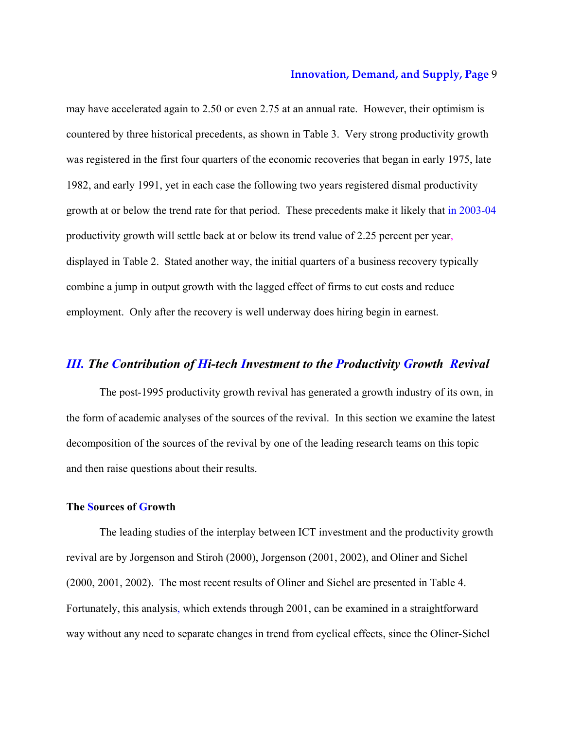may have accelerated again to 2.50 or even 2.75 at an annual rate. However, their optimism is countered by three historical precedents, as shown in Table 3. Very strong productivity growth was registered in the first four quarters of the economic recoveries that began in early 1975, late 1982, and early 1991, yet in each case the following two years registered dismal productivity growth at or below the trend rate for that period. These precedents make it likely that in 2003-04 productivity growth will settle back at or below its trend value of 2.25 percent per year, displayed in Table 2. Stated another way, the initial quarters of a business recovery typically combine a jump in output growth with the lagged effect of firms to cut costs and reduce employment. Only after the recovery is well underway does hiring begin in earnest.

# *III. The Contribution of Hi-tech Investment to the Productivity Growth Revival*

The post-1995 productivity growth revival has generated a growth industry of its own, in the form of academic analyses of the sources of the revival. In this section we examine the latest decomposition of the sources of the revival by one of the leading research teams on this topic and then raise questions about their results.

# **The Sources of Growth**

The leading studies of the interplay between ICT investment and the productivity growth revival are by Jorgenson and Stiroh (2000), Jorgenson (2001, 2002), and Oliner and Sichel (2000, 2001, 2002). The most recent results of Oliner and Sichel are presented in Table 4. Fortunately, this analysis, which extends through 2001, can be examined in a straightforward way without any need to separate changes in trend from cyclical effects, since the Oliner-Sichel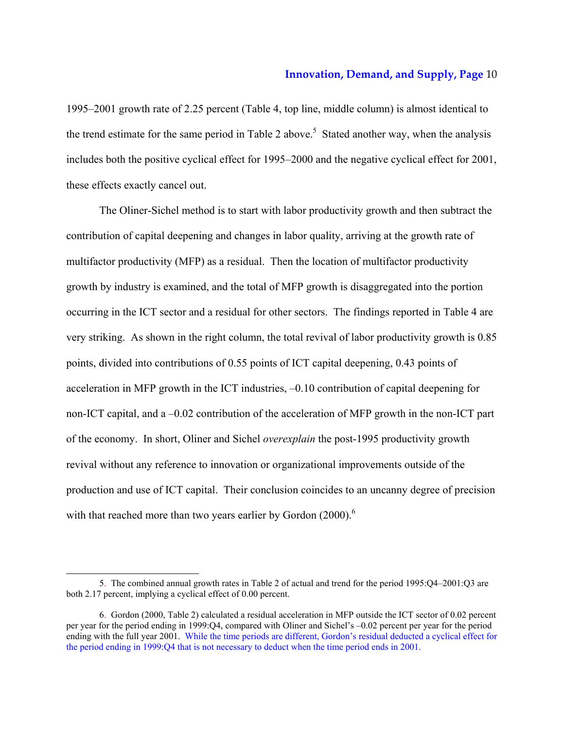1995–2001 growth rate of 2.25 percent (Table 4, top line, middle column) is almost identical to the trend estimate for the same period in Table 2 above.<sup>5</sup> Stated another way, when the analysis includes both the positive cyclical effect for 1995–2000 and the negative cyclical effect for 2001, these effects exactly cancel out.

The Oliner-Sichel method is to start with labor productivity growth and then subtract the contribution of capital deepening and changes in labor quality, arriving at the growth rate of multifactor productivity (MFP) as a residual. Then the location of multifactor productivity growth by industry is examined, and the total of MFP growth is disaggregated into the portion occurring in the ICT sector and a residual for other sectors. The findings reported in Table 4 are very striking. As shown in the right column, the total revival of labor productivity growth is 0.85 points, divided into contributions of 0.55 points of ICT capital deepening, 0.43 points of acceleration in MFP growth in the ICT industries, –0.10 contribution of capital deepening for non-ICT capital, and a –0.02 contribution of the acceleration of MFP growth in the non-ICT part of the economy. In short, Oliner and Sichel *overexplain* the post-1995 productivity growth revival without any reference to innovation or organizational improvements outside of the production and use of ICT capital. Their conclusion coincides to an uncanny degree of precision with that reached more than two years earlier by Gordon (2000).<sup>6</sup>

<sup>5.</sup> The combined annual growth rates in Table 2 of actual and trend for the period 1995:Q4–2001:Q3 are both 2.17 percent, implying a cyclical effect of 0.00 percent.

<sup>6.</sup> Gordon (2000, Table 2) calculated a residual acceleration in MFP outside the ICT sector of 0.02 percent per year for the period ending in 1999:Q4, compared with Oliner and Sichel's –0.02 percent per year for the period ending with the full year 2001. While the time periods are different, Gordon's residual deducted a cyclical effect for the period ending in 1999:Q4 that is not necessary to deduct when the time period ends in 2001.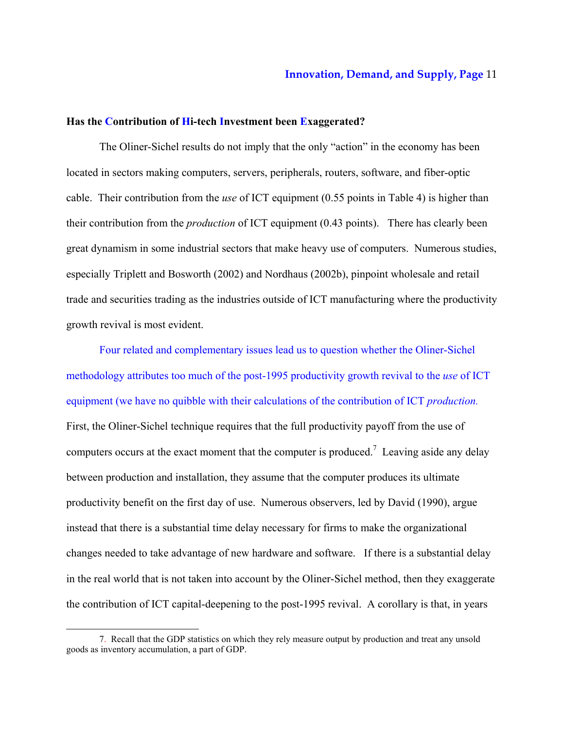# **Has the Contribution of Hi-tech Investment been Exaggerated?**

The Oliner-Sichel results do not imply that the only "action" in the economy has been located in sectors making computers, servers, peripherals, routers, software, and fiber-optic cable. Their contribution from the *use* of ICT equipment (0.55 points in Table 4) is higher than their contribution from the *production* of ICT equipment (0.43 points). There has clearly been great dynamism in some industrial sectors that make heavy use of computers. Numerous studies, especially Triplett and Bosworth (2002) and Nordhaus (2002b), pinpoint wholesale and retail trade and securities trading as the industries outside of ICT manufacturing where the productivity growth revival is most evident.

Four related and complementary issues lead us to question whether the Oliner-Sichel methodology attributes too much of the post-1995 productivity growth revival to the *use* of ICT equipment (we have no quibble with their calculations of the contribution of ICT *production.* First, the Oliner-Sichel technique requires that the full productivity payoff from the use of computers occurs at the exact moment that the computer is produced.<sup>7</sup> Leaving aside any delay between production and installation, they assume that the computer produces its ultimate productivity benefit on the first day of use. Numerous observers, led by David (1990), argue instead that there is a substantial time delay necessary for firms to make the organizational changes needed to take advantage of new hardware and software. If there is a substantial delay in the real world that is not taken into account by the Oliner-Sichel method, then they exaggerate the contribution of ICT capital-deepening to the post-1995 revival. A corollary is that, in years

<sup>7.</sup> Recall that the GDP statistics on which they rely measure output by production and treat any unsold goods as inventory accumulation, a part of GDP.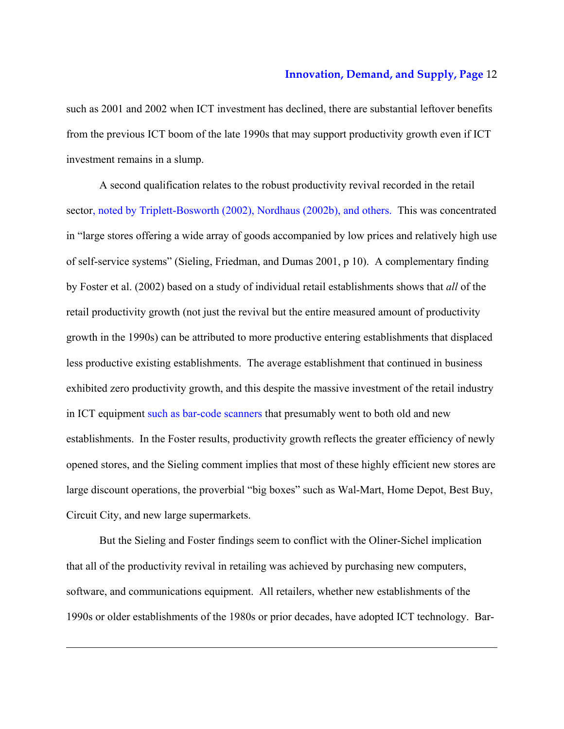such as 2001 and 2002 when ICT investment has declined, there are substantial leftover benefits from the previous ICT boom of the late 1990s that may support productivity growth even if ICT investment remains in a slump.

A second qualification relates to the robust productivity revival recorded in the retail sector, noted by Triplett-Bosworth (2002), Nordhaus (2002b), and others. This was concentrated in "large stores offering a wide array of goods accompanied by low prices and relatively high use of self-service systems" (Sieling, Friedman, and Dumas 2001, p 10). A complementary finding by Foster et al. (2002) based on a study of individual retail establishments shows that *all* of the retail productivity growth (not just the revival but the entire measured amount of productivity growth in the 1990s) can be attributed to more productive entering establishments that displaced less productive existing establishments. The average establishment that continued in business exhibited zero productivity growth, and this despite the massive investment of the retail industry in ICT equipment such as bar-code scanners that presumably went to both old and new establishments. In the Foster results, productivity growth reflects the greater efficiency of newly opened stores, and the Sieling comment implies that most of these highly efficient new stores are large discount operations, the proverbial "big boxes" such as Wal-Mart, Home Depot, Best Buy, Circuit City, and new large supermarkets.

But the Sieling and Foster findings seem to conflict with the Oliner-Sichel implication that all of the productivity revival in retailing was achieved by purchasing new computers, software, and communications equipment. All retailers, whether new establishments of the 1990s or older establishments of the 1980s or prior decades, have adopted ICT technology. Bar-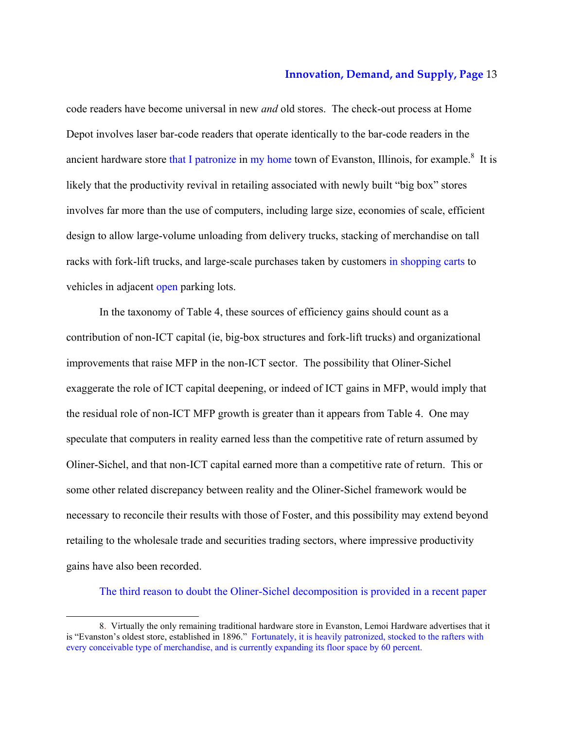code readers have become universal in new *and* old stores. The check-out process at Home Depot involves laser bar-code readers that operate identically to the bar-code readers in the ancient hardware store that I patronize in my home town of Evanston, Illinois, for example.<sup>8</sup> It is likely that the productivity revival in retailing associated with newly built "big box" stores involves far more than the use of computers, including large size, economies of scale, efficient design to allow large-volume unloading from delivery trucks, stacking of merchandise on tall racks with fork-lift trucks, and large-scale purchases taken by customers in shopping carts to vehicles in adjacent open parking lots.

In the taxonomy of Table 4, these sources of efficiency gains should count as a contribution of non-ICT capital (ie, big-box structures and fork-lift trucks) and organizational improvements that raise MFP in the non-ICT sector. The possibility that Oliner-Sichel exaggerate the role of ICT capital deepening, or indeed of ICT gains in MFP, would imply that the residual role of non-ICT MFP growth is greater than it appears from Table 4. One may speculate that computers in reality earned less than the competitive rate of return assumed by Oliner-Sichel, and that non-ICT capital earned more than a competitive rate of return. This or some other related discrepancy between reality and the Oliner-Sichel framework would be necessary to reconcile their results with those of Foster, and this possibility may extend beyond retailing to the wholesale trade and securities trading sectors, where impressive productivity gains have also been recorded.

The third reason to doubt the Oliner-Sichel decomposition is provided in a recent paper

<sup>8.</sup> Virtually the only remaining traditional hardware store in Evanston, Lemoi Hardware advertises that it is "Evanston's oldest store, established in 1896." Fortunately, it is heavily patronized, stocked to the rafters with every conceivable type of merchandise, and is currently expanding its floor space by 60 percent.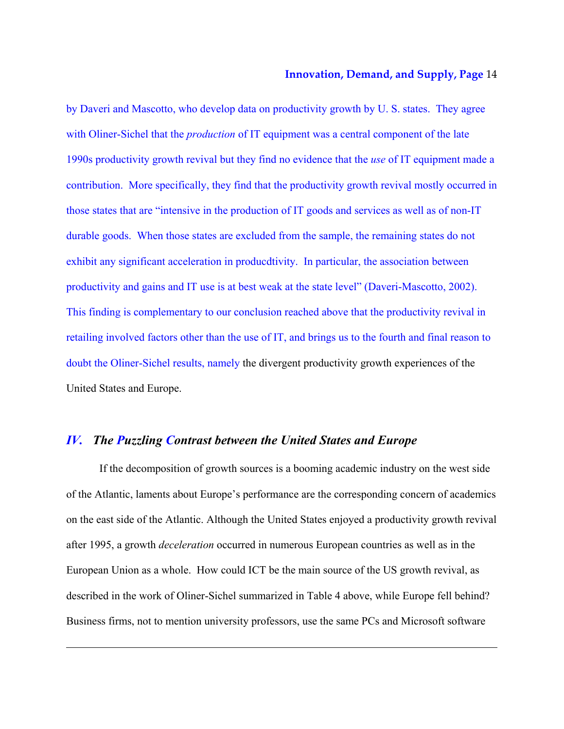by Daveri and Mascotto, who develop data on productivity growth by U. S. states. They agree with Oliner-Sichel that the *production* of IT equipment was a central component of the late 1990s productivity growth revival but they find no evidence that the *use* of IT equipment made a contribution. More specifically, they find that the productivity growth revival mostly occurred in those states that are "intensive in the production of IT goods and services as well as of non-IT durable goods. When those states are excluded from the sample, the remaining states do not exhibit any significant acceleration in producdtivity. In particular, the association between productivity and gains and IT use is at best weak at the state level" (Daveri-Mascotto, 2002). This finding is complementary to our conclusion reached above that the productivity revival in retailing involved factors other than the use of IT, and brings us to the fourth and final reason to doubt the Oliner-Sichel results, namely the divergent productivity growth experiences of the United States and Europe.

# *IV. The Puzzling Contrast between the United States and Europe*

-

If the decomposition of growth sources is a booming academic industry on the west side of the Atlantic, laments about Europe's performance are the corresponding concern of academics on the east side of the Atlantic. Although the United States enjoyed a productivity growth revival after 1995, a growth *deceleration* occurred in numerous European countries as well as in the European Union as a whole. How could ICT be the main source of the US growth revival, as described in the work of Oliner-Sichel summarized in Table 4 above, while Europe fell behind? Business firms, not to mention university professors, use the same PCs and Microsoft software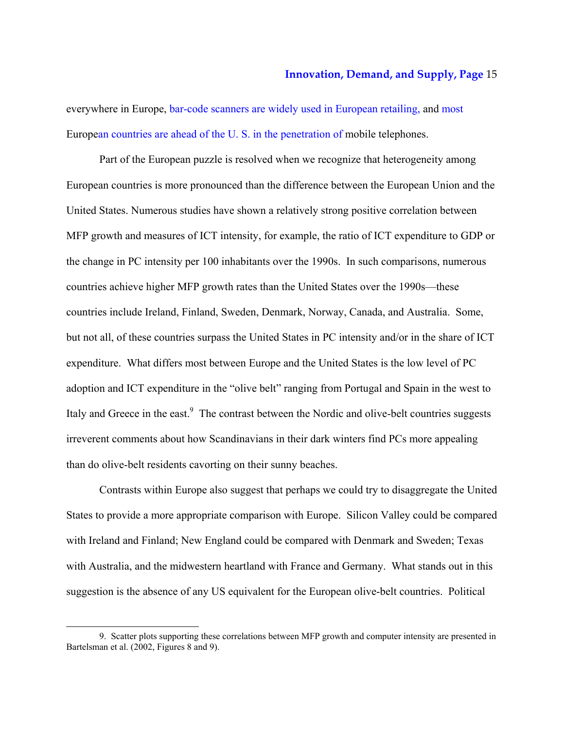everywhere in Europe, bar-code scanners are widely used in European retailing, and most European countries are ahead of the U. S. in the penetration of mobile telephones.

Part of the European puzzle is resolved when we recognize that heterogeneity among European countries is more pronounced than the difference between the European Union and the United States. Numerous studies have shown a relatively strong positive correlation between MFP growth and measures of ICT intensity, for example, the ratio of ICT expenditure to GDP or the change in PC intensity per 100 inhabitants over the 1990s. In such comparisons, numerous countries achieve higher MFP growth rates than the United States over the 1990s—these countries include Ireland, Finland, Sweden, Denmark, Norway, Canada, and Australia. Some, but not all, of these countries surpass the United States in PC intensity and/or in the share of ICT expenditure. What differs most between Europe and the United States is the low level of PC adoption and ICT expenditure in the "olive belt" ranging from Portugal and Spain in the west to Italy and Greece in the east.<sup>9</sup> The contrast between the Nordic and olive-belt countries suggests irreverent comments about how Scandinavians in their dark winters find PCs more appealing than do olive-belt residents cavorting on their sunny beaches.

Contrasts within Europe also suggest that perhaps we could try to disaggregate the United States to provide a more appropriate comparison with Europe. Silicon Valley could be compared with Ireland and Finland; New England could be compared with Denmark and Sweden; Texas with Australia, and the midwestern heartland with France and Germany. What stands out in this suggestion is the absence of any US equivalent for the European olive-belt countries. Political

<sup>9.</sup> Scatter plots supporting these correlations between MFP growth and computer intensity are presented in Bartelsman et al. (2002, Figures 8 and 9).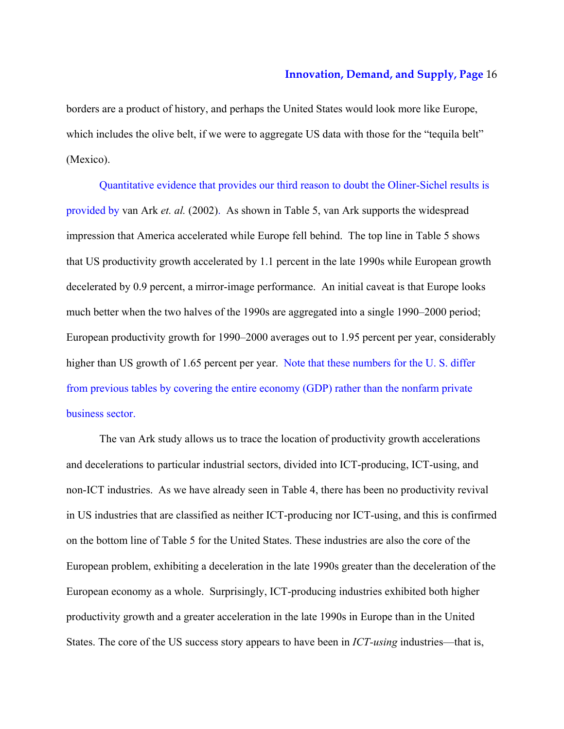borders are a product of history, and perhaps the United States would look more like Europe, which includes the olive belt, if we were to aggregate US data with those for the "tequila belt" (Mexico).

Quantitative evidence that provides our third reason to doubt the Oliner-Sichel results is provided by van Ark *et. al.* (2002). As shown in Table 5, van Ark supports the widespread impression that America accelerated while Europe fell behind. The top line in Table 5 shows that US productivity growth accelerated by 1.1 percent in the late 1990s while European growth decelerated by 0.9 percent, a mirror-image performance. An initial caveat is that Europe looks much better when the two halves of the 1990s are aggregated into a single 1990–2000 period; European productivity growth for 1990–2000 averages out to 1.95 percent per year, considerably higher than US growth of 1.65 percent per year. Note that these numbers for the U.S. differ from previous tables by covering the entire economy (GDP) rather than the nonfarm private business sector.

The van Ark study allows us to trace the location of productivity growth accelerations and decelerations to particular industrial sectors, divided into ICT-producing, ICT-using, and non-ICT industries. As we have already seen in Table 4, there has been no productivity revival in US industries that are classified as neither ICT-producing nor ICT-using, and this is confirmed on the bottom line of Table 5 for the United States. These industries are also the core of the European problem, exhibiting a deceleration in the late 1990s greater than the deceleration of the European economy as a whole. Surprisingly, ICT-producing industries exhibited both higher productivity growth and a greater acceleration in the late 1990s in Europe than in the United States. The core of the US success story appears to have been in *ICT-using* industries—that is,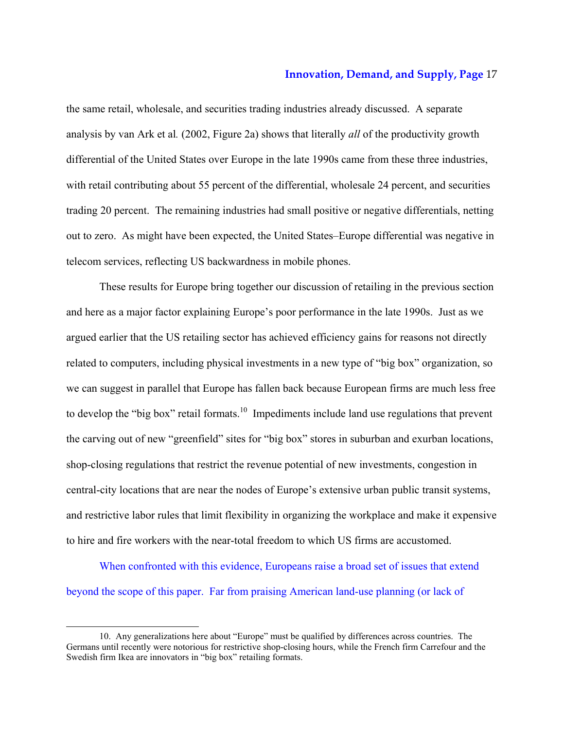the same retail, wholesale, and securities trading industries already discussed. A separate analysis by van Ark et al*.* (2002, Figure 2a) shows that literally *all* of the productivity growth differential of the United States over Europe in the late 1990s came from these three industries, with retail contributing about 55 percent of the differential, wholesale 24 percent, and securities trading 20 percent. The remaining industries had small positive or negative differentials, netting out to zero. As might have been expected, the United States–Europe differential was negative in telecom services, reflecting US backwardness in mobile phones.

These results for Europe bring together our discussion of retailing in the previous section and here as a major factor explaining Europe's poor performance in the late 1990s. Just as we argued earlier that the US retailing sector has achieved efficiency gains for reasons not directly related to computers, including physical investments in a new type of "big box" organization, so we can suggest in parallel that Europe has fallen back because European firms are much less free to develop the "big box" retail formats.<sup>10</sup> Impediments include land use regulations that prevent the carving out of new "greenfield" sites for "big box" stores in suburban and exurban locations, shop-closing regulations that restrict the revenue potential of new investments, congestion in central-city locations that are near the nodes of Europe's extensive urban public transit systems, and restrictive labor rules that limit flexibility in organizing the workplace and make it expensive to hire and fire workers with the near-total freedom to which US firms are accustomed.

 When confronted with this evidence, Europeans raise a broad set of issues that extend beyond the scope of this paper. Far from praising American land-use planning (or lack of

<sup>10.</sup> Any generalizations here about "Europe" must be qualified by differences across countries. The Germans until recently were notorious for restrictive shop-closing hours, while the French firm Carrefour and the Swedish firm Ikea are innovators in "big box" retailing formats.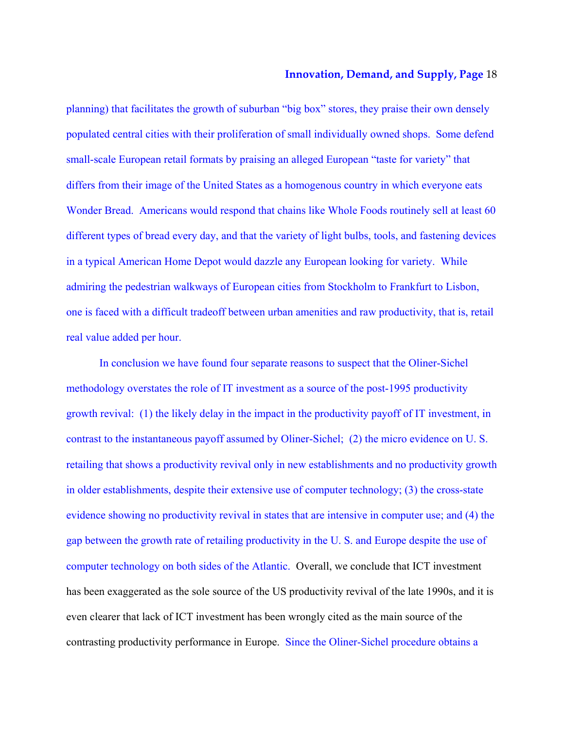planning) that facilitates the growth of suburban "big box" stores, they praise their own densely populated central cities with their proliferation of small individually owned shops. Some defend small-scale European retail formats by praising an alleged European "taste for variety" that differs from their image of the United States as a homogenous country in which everyone eats Wonder Bread. Americans would respond that chains like Whole Foods routinely sell at least 60 different types of bread every day, and that the variety of light bulbs, tools, and fastening devices in a typical American Home Depot would dazzle any European looking for variety. While admiring the pedestrian walkways of European cities from Stockholm to Frankfurt to Lisbon, one is faced with a difficult tradeoff between urban amenities and raw productivity, that is, retail real value added per hour.

 In conclusion we have found four separate reasons to suspect that the Oliner-Sichel methodology overstates the role of IT investment as a source of the post-1995 productivity growth revival: (1) the likely delay in the impact in the productivity payoff of IT investment, in contrast to the instantaneous payoff assumed by Oliner-Sichel; (2) the micro evidence on U. S. retailing that shows a productivity revival only in new establishments and no productivity growth in older establishments, despite their extensive use of computer technology; (3) the cross-state evidence showing no productivity revival in states that are intensive in computer use; and (4) the gap between the growth rate of retailing productivity in the U. S. and Europe despite the use of computer technology on both sides of the Atlantic. Overall, we conclude that ICT investment has been exaggerated as the sole source of the US productivity revival of the late 1990s, and it is even clearer that lack of ICT investment has been wrongly cited as the main source of the contrasting productivity performance in Europe. Since the Oliner-Sichel procedure obtains a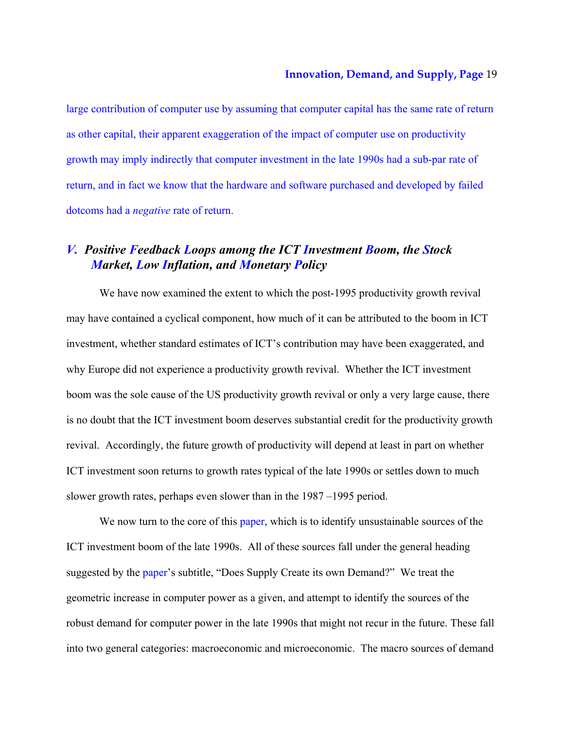large contribution of computer use by assuming that computer capital has the same rate of return as other capital, their apparent exaggeration of the impact of computer use on productivity growth may imply indirectly that computer investment in the late 1990s had a sub-par rate of return, and in fact we know that the hardware and software purchased and developed by failed dotcoms had a *negative* rate of return.

# *V. Positive Feedback Loops among the ICT Investment Boom, the Stock Market, Low Inflation, and Monetary Policy*

We have now examined the extent to which the post-1995 productivity growth revival may have contained a cyclical component, how much of it can be attributed to the boom in ICT investment, whether standard estimates of ICT's contribution may have been exaggerated, and why Europe did not experience a productivity growth revival. Whether the ICT investment boom was the sole cause of the US productivity growth revival or only a very large cause, there is no doubt that the ICT investment boom deserves substantial credit for the productivity growth revival. Accordingly, the future growth of productivity will depend at least in part on whether ICT investment soon returns to growth rates typical of the late 1990s or settles down to much slower growth rates, perhaps even slower than in the 1987 –1995 period.

We now turn to the core of this paper, which is to identify unsustainable sources of the ICT investment boom of the late 1990s. All of these sources fall under the general heading suggested by the paper's subtitle, "Does Supply Create its own Demand?" We treat the geometric increase in computer power as a given, and attempt to identify the sources of the robust demand for computer power in the late 1990s that might not recur in the future. These fall into two general categories: macroeconomic and microeconomic. The macro sources of demand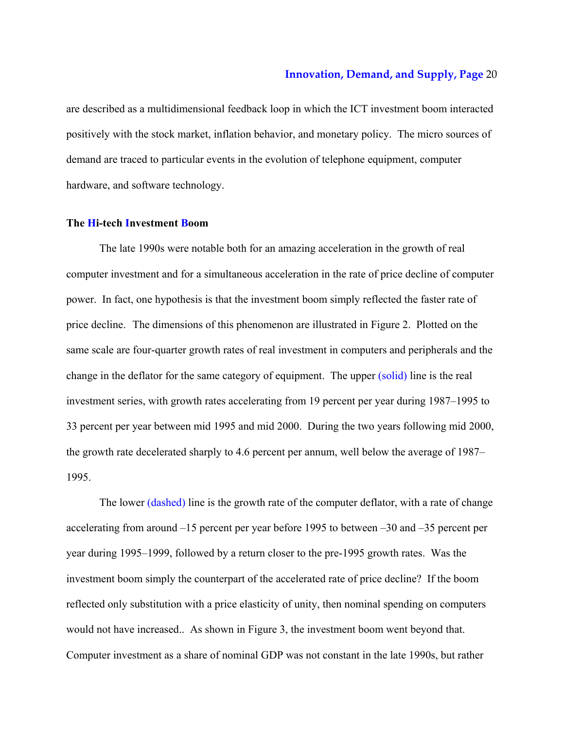are described as a multidimensional feedback loop in which the ICT investment boom interacted positively with the stock market, inflation behavior, and monetary policy. The micro sources of demand are traced to particular events in the evolution of telephone equipment, computer hardware, and software technology.

# **The Hi-tech Investment Boom**

The late 1990s were notable both for an amazing acceleration in the growth of real computer investment and for a simultaneous acceleration in the rate of price decline of computer power. In fact, one hypothesis is that the investment boom simply reflected the faster rate of price decline. The dimensions of this phenomenon are illustrated in Figure 2. Plotted on the same scale are four-quarter growth rates of real investment in computers and peripherals and the change in the deflator for the same category of equipment. The upper (solid) line is the real investment series, with growth rates accelerating from 19 percent per year during 1987–1995 to 33 percent per year between mid 1995 and mid 2000. During the two years following mid 2000, the growth rate decelerated sharply to 4.6 percent per annum, well below the average of 1987– 1995.

The lower (dashed) line is the growth rate of the computer deflator, with a rate of change accelerating from around –15 percent per year before 1995 to between –30 and –35 percent per year during 1995–1999, followed by a return closer to the pre-1995 growth rates. Was the investment boom simply the counterpart of the accelerated rate of price decline? If the boom reflected only substitution with a price elasticity of unity, then nominal spending on computers would not have increased.. As shown in Figure 3, the investment boom went beyond that. Computer investment as a share of nominal GDP was not constant in the late 1990s, but rather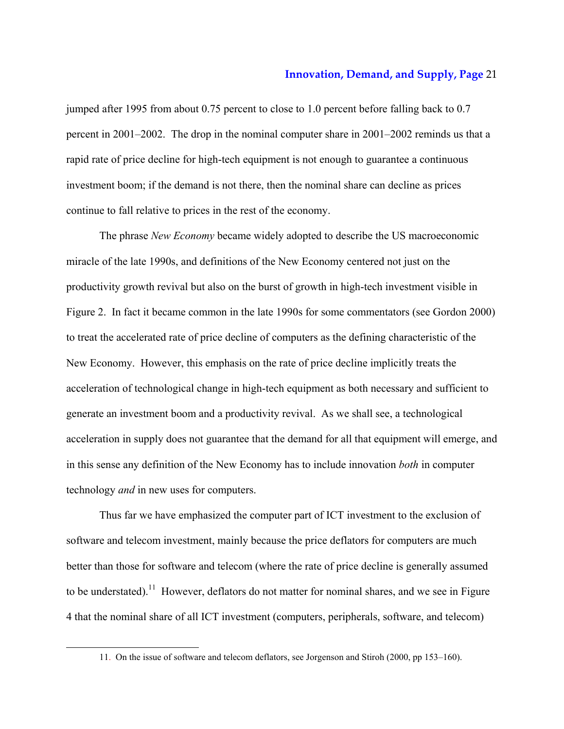jumped after 1995 from about 0.75 percent to close to 1.0 percent before falling back to 0.7 percent in 2001–2002. The drop in the nominal computer share in 2001–2002 reminds us that a rapid rate of price decline for high-tech equipment is not enough to guarantee a continuous investment boom; if the demand is not there, then the nominal share can decline as prices continue to fall relative to prices in the rest of the economy.

The phrase *New Economy* became widely adopted to describe the US macroeconomic miracle of the late 1990s, and definitions of the New Economy centered not just on the productivity growth revival but also on the burst of growth in high-tech investment visible in Figure 2. In fact it became common in the late 1990s for some commentators (see Gordon 2000) to treat the accelerated rate of price decline of computers as the defining characteristic of the New Economy. However, this emphasis on the rate of price decline implicitly treats the acceleration of technological change in high-tech equipment as both necessary and sufficient to generate an investment boom and a productivity revival. As we shall see, a technological acceleration in supply does not guarantee that the demand for all that equipment will emerge, and in this sense any definition of the New Economy has to include innovation *both* in computer technology *and* in new uses for computers.

Thus far we have emphasized the computer part of ICT investment to the exclusion of software and telecom investment, mainly because the price deflators for computers are much better than those for software and telecom (where the rate of price decline is generally assumed to be understated).<sup>11</sup> However, deflators do not matter for nominal shares, and we see in Figure 4 that the nominal share of all ICT investment (computers, peripherals, software, and telecom)

<sup>11.</sup> On the issue of software and telecom deflators, see Jorgenson and Stiroh (2000, pp 153–160).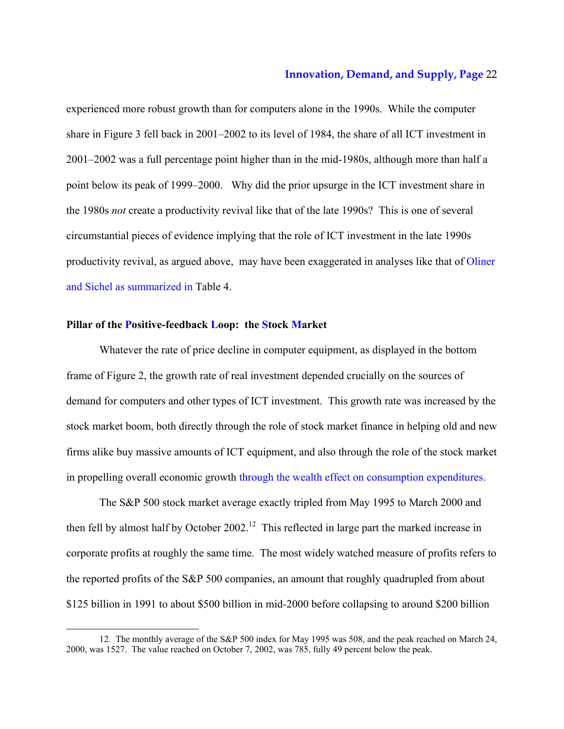experienced more robust growth than for computers alone in the 1990s. While the computer share in Figure 3 fell back in 2001–2002 to its level of 1984, the share of all ICT investment in 2001–2002 was a full percentage point higher than in the mid-1980s, although more than half a point below its peak of 1999–2000. Why did the prior upsurge in the ICT investment share in the 1980s *not* create a productivity revival like that of the late 1990s? This is one of several circumstantial pieces of evidence implying that the role of ICT investment in the late 1990s productivity revival, as argued above, may have been exaggerated in analyses like that of Oliner and Sichel as summarized in Table 4.

# **Pillar of the Positive-feedback Loop: the Stock Market**

-

Whatever the rate of price decline in computer equipment, as displayed in the bottom frame of Figure 2, the growth rate of real investment depended crucially on the sources of demand for computers and other types of ICT investment. This growth rate was increased by the stock market boom, both directly through the role of stock market finance in helping old and new firms alike buy massive amounts of ICT equipment, and also through the role of the stock market in propelling overall economic growth through the wealth effect on consumption expenditures.

The S&P 500 stock market average exactly tripled from May 1995 to March 2000 and then fell by almost half by October 2002.<sup>12</sup> This reflected in large part the marked increase in corporate profits at roughly the same time. The most widely watched measure of profits refers to the reported profits of the S&P 500 companies, an amount that roughly quadrupled from about \$125 billion in 1991 to about \$500 billion in mid-2000 before collapsing to around \$200 billion

<sup>12.</sup> The monthly average of the S&P 500 index for May 1995 was 508, and the peak reached on March 24, 2000, was 1527. The value reached on October 7, 2002, was 785, fully 49 percent below the peak.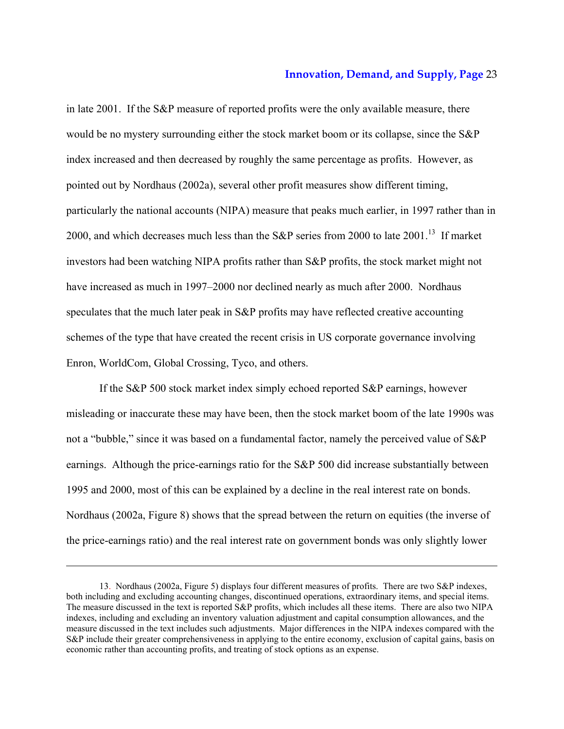in late 2001. If the S&P measure of reported profits were the only available measure, there would be no mystery surrounding either the stock market boom or its collapse, since the S&P index increased and then decreased by roughly the same percentage as profits. However, as pointed out by Nordhaus (2002a), several other profit measures show different timing, particularly the national accounts (NIPA) measure that peaks much earlier, in 1997 rather than in 2000, and which decreases much less than the S&P series from 2000 to late  $2001$ .<sup>13</sup> If market investors had been watching NIPA profits rather than S&P profits, the stock market might not have increased as much in 1997–2000 nor declined nearly as much after 2000. Nordhaus speculates that the much later peak in S&P profits may have reflected creative accounting schemes of the type that have created the recent crisis in US corporate governance involving Enron, WorldCom, Global Crossing, Tyco, and others.

If the S&P 500 stock market index simply echoed reported S&P earnings, however misleading or inaccurate these may have been, then the stock market boom of the late 1990s was not a "bubble," since it was based on a fundamental factor, namely the perceived value of S&P earnings. Although the price-earnings ratio for the S&P 500 did increase substantially between 1995 and 2000, most of this can be explained by a decline in the real interest rate on bonds. Nordhaus (2002a, Figure 8) shows that the spread between the return on equities (the inverse of the price-earnings ratio) and the real interest rate on government bonds was only slightly lower

<sup>13.</sup> Nordhaus (2002a, Figure 5) displays four different measures of profits. There are two S&P indexes, both including and excluding accounting changes, discontinued operations, extraordinary items, and special items. The measure discussed in the text is reported S&P profits, which includes all these items. There are also two NIPA indexes, including and excluding an inventory valuation adjustment and capital consumption allowances, and the measure discussed in the text includes such adjustments. Major differences in the NIPA indexes compared with the S&P include their greater comprehensiveness in applying to the entire economy, exclusion of capital gains, basis on economic rather than accounting profits, and treating of stock options as an expense.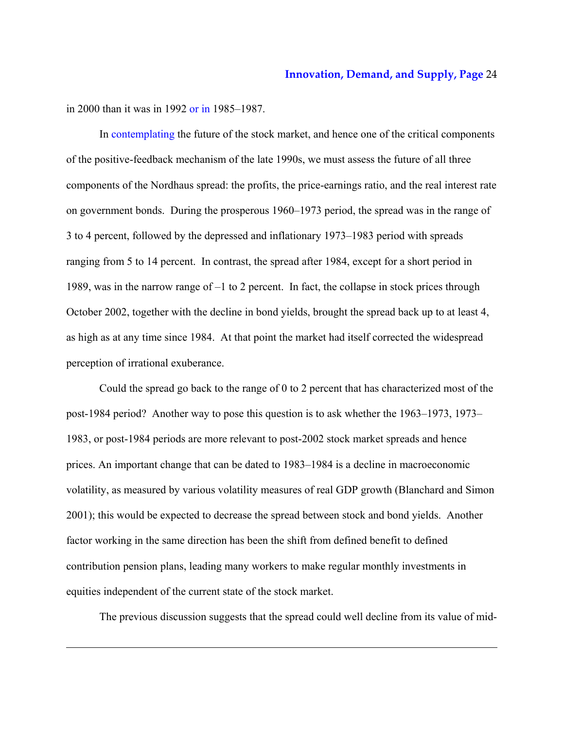in 2000 than it was in 1992 or in 1985–1987.

-

In contemplating the future of the stock market, and hence one of the critical components of the positive-feedback mechanism of the late 1990s, we must assess the future of all three components of the Nordhaus spread: the profits, the price-earnings ratio, and the real interest rate on government bonds. During the prosperous 1960–1973 period, the spread was in the range of 3 to 4 percent, followed by the depressed and inflationary 1973–1983 period with spreads ranging from 5 to 14 percent. In contrast, the spread after 1984, except for a short period in 1989, was in the narrow range of –1 to 2 percent. In fact, the collapse in stock prices through October 2002, together with the decline in bond yields, brought the spread back up to at least 4, as high as at any time since 1984. At that point the market had itself corrected the widespread perception of irrational exuberance.

Could the spread go back to the range of 0 to 2 percent that has characterized most of the post-1984 period? Another way to pose this question is to ask whether the 1963–1973, 1973– 1983, or post-1984 periods are more relevant to post-2002 stock market spreads and hence prices. An important change that can be dated to 1983–1984 is a decline in macroeconomic volatility, as measured by various volatility measures of real GDP growth (Blanchard and Simon 2001); this would be expected to decrease the spread between stock and bond yields. Another factor working in the same direction has been the shift from defined benefit to defined contribution pension plans, leading many workers to make regular monthly investments in equities independent of the current state of the stock market.

The previous discussion suggests that the spread could well decline from its value of mid-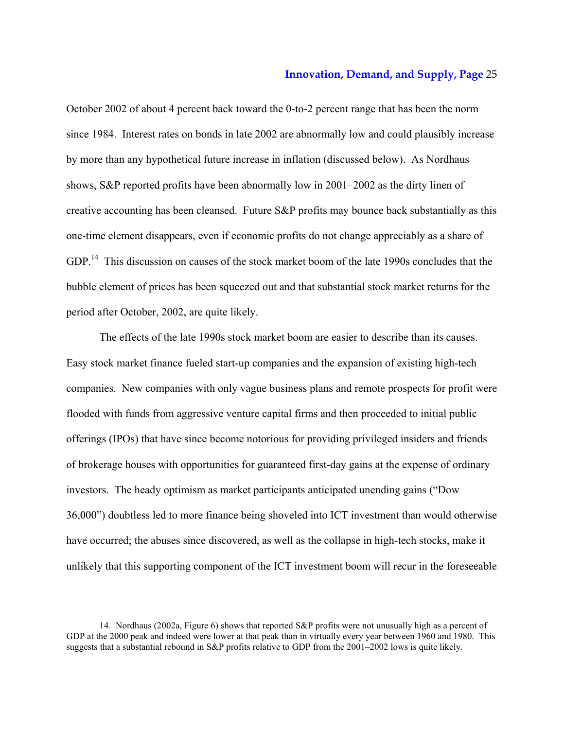October 2002 of about 4 percent back toward the 0-to-2 percent range that has been the norm since 1984. Interest rates on bonds in late 2002 are abnormally low and could plausibly increase by more than any hypothetical future increase in inflation (discussed below). As Nordhaus shows, S&P reported profits have been abnormally low in 2001–2002 as the dirty linen of creative accounting has been cleansed. Future S&P profits may bounce back substantially as this one-time element disappears, even if economic profits do not change appreciably as a share of GDP.<sup>14</sup> This discussion on causes of the stock market boom of the late 1990s concludes that the bubble element of prices has been squeezed out and that substantial stock market returns for the period after October, 2002, are quite likely.

The effects of the late 1990s stock market boom are easier to describe than its causes. Easy stock market finance fueled start-up companies and the expansion of existing high-tech companies. New companies with only vague business plans and remote prospects for profit were flooded with funds from aggressive venture capital firms and then proceeded to initial public offerings (IPOs) that have since become notorious for providing privileged insiders and friends of brokerage houses with opportunities for guaranteed first-day gains at the expense of ordinary investors. The heady optimism as market participants anticipated unending gains ("Dow 36,000") doubtless led to more finance being shoveled into ICT investment than would otherwise have occurred; the abuses since discovered, as well as the collapse in high-tech stocks, make it unlikely that this supporting component of the ICT investment boom will recur in the foreseeable

<sup>14.</sup> Nordhaus (2002a, Figure 6) shows that reported S&P profits were not unusually high as a percent of GDP at the 2000 peak and indeed were lower at that peak than in virtually every year between 1960 and 1980. This suggests that a substantial rebound in S&P profits relative to GDP from the 2001–2002 lows is quite likely.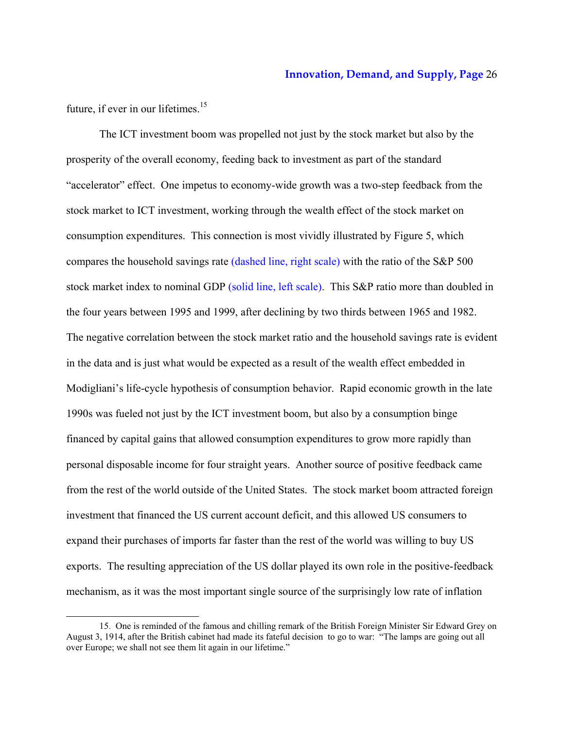future, if ever in our lifetimes.<sup>15</sup>

-

The ICT investment boom was propelled not just by the stock market but also by the prosperity of the overall economy, feeding back to investment as part of the standard "accelerator" effect. One impetus to economy-wide growth was a two-step feedback from the stock market to ICT investment, working through the wealth effect of the stock market on consumption expenditures. This connection is most vividly illustrated by Figure 5, which compares the household savings rate (dashed line, right scale) with the ratio of the S&P 500 stock market index to nominal GDP (solid line, left scale). This S&P ratio more than doubled in the four years between 1995 and 1999, after declining by two thirds between 1965 and 1982. The negative correlation between the stock market ratio and the household savings rate is evident in the data and is just what would be expected as a result of the wealth effect embedded in Modigliani's life-cycle hypothesis of consumption behavior. Rapid economic growth in the late 1990s was fueled not just by the ICT investment boom, but also by a consumption binge financed by capital gains that allowed consumption expenditures to grow more rapidly than personal disposable income for four straight years. Another source of positive feedback came from the rest of the world outside of the United States. The stock market boom attracted foreign investment that financed the US current account deficit, and this allowed US consumers to expand their purchases of imports far faster than the rest of the world was willing to buy US exports. The resulting appreciation of the US dollar played its own role in the positive-feedback mechanism, as it was the most important single source of the surprisingly low rate of inflation

<sup>15.</sup> One is reminded of the famous and chilling remark of the British Foreign Minister Sir Edward Grey on August 3, 1914, after the British cabinet had made its fateful decision to go to war: "The lamps are going out all over Europe; we shall not see them lit again in our lifetime."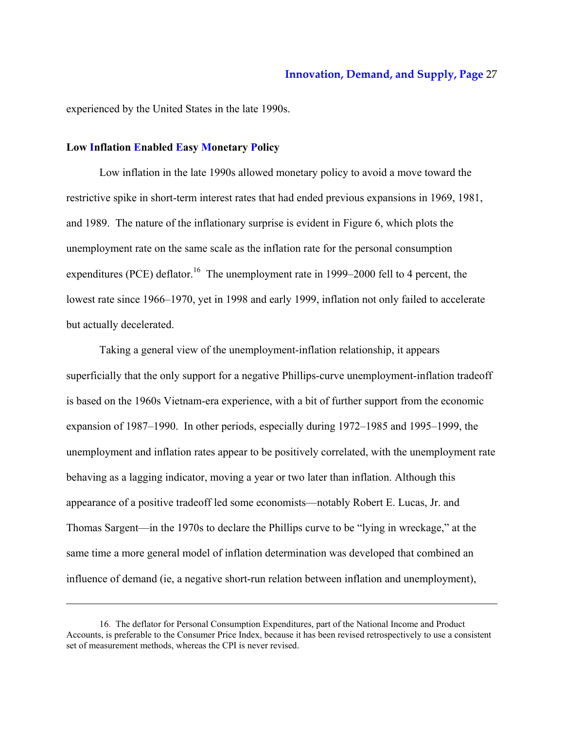experienced by the United States in the late 1990s.

# **Low Inflation Enabled Easy Monetary Policy**

1

Low inflation in the late 1990s allowed monetary policy to avoid a move toward the restrictive spike in short-term interest rates that had ended previous expansions in 1969, 1981, and 1989. The nature of the inflationary surprise is evident in Figure 6, which plots the unemployment rate on the same scale as the inflation rate for the personal consumption expenditures (PCE) deflator.<sup>16</sup> The unemployment rate in 1999–2000 fell to 4 percent, the lowest rate since 1966–1970, yet in 1998 and early 1999, inflation not only failed to accelerate but actually decelerated.

Taking a general view of the unemployment-inflation relationship, it appears superficially that the only support for a negative Phillips-curve unemployment-inflation tradeoff is based on the 1960s Vietnam-era experience, with a bit of further support from the economic expansion of 1987–1990. In other periods, especially during 1972–1985 and 1995–1999, the unemployment and inflation rates appear to be positively correlated, with the unemployment rate behaving as a lagging indicator, moving a year or two later than inflation. Although this appearance of a positive tradeoff led some economists—notably Robert E. Lucas, Jr. and Thomas Sargent—in the 1970s to declare the Phillips curve to be "lying in wreckage," at the same time a more general model of inflation determination was developed that combined an influence of demand (ie, a negative short-run relation between inflation and unemployment),

<sup>16.</sup> The deflator for Personal Consumption Expenditures, part of the National Income and Product Accounts, is preferable to the Consumer Price Index, because it has been revised retrospectively to use a consistent set of measurement methods, whereas the CPI is never revised.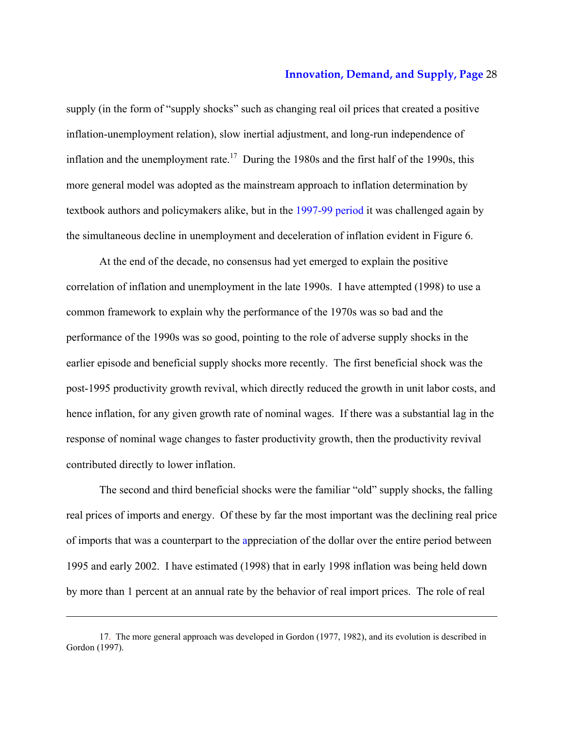supply (in the form of "supply shocks" such as changing real oil prices that created a positive inflation-unemployment relation), slow inertial adjustment, and long-run independence of inflation and the unemployment rate.<sup>17</sup> During the 1980s and the first half of the 1990s, this more general model was adopted as the mainstream approach to inflation determination by textbook authors and policymakers alike, but in the 1997-99 period it was challenged again by the simultaneous decline in unemployment and deceleration of inflation evident in Figure 6.

At the end of the decade, no consensus had yet emerged to explain the positive correlation of inflation and unemployment in the late 1990s. I have attempted (1998) to use a common framework to explain why the performance of the 1970s was so bad and the performance of the 1990s was so good, pointing to the role of adverse supply shocks in the earlier episode and beneficial supply shocks more recently. The first beneficial shock was the post-1995 productivity growth revival, which directly reduced the growth in unit labor costs, and hence inflation, for any given growth rate of nominal wages. If there was a substantial lag in the response of nominal wage changes to faster productivity growth, then the productivity revival contributed directly to lower inflation.

The second and third beneficial shocks were the familiar "old" supply shocks, the falling real prices of imports and energy. Of these by far the most important was the declining real price of imports that was a counterpart to the appreciation of the dollar over the entire period between 1995 and early 2002. I have estimated (1998) that in early 1998 inflation was being held down by more than 1 percent at an annual rate by the behavior of real import prices. The role of real

<sup>17.</sup> The more general approach was developed in Gordon (1977, 1982), and its evolution is described in Gordon (1997).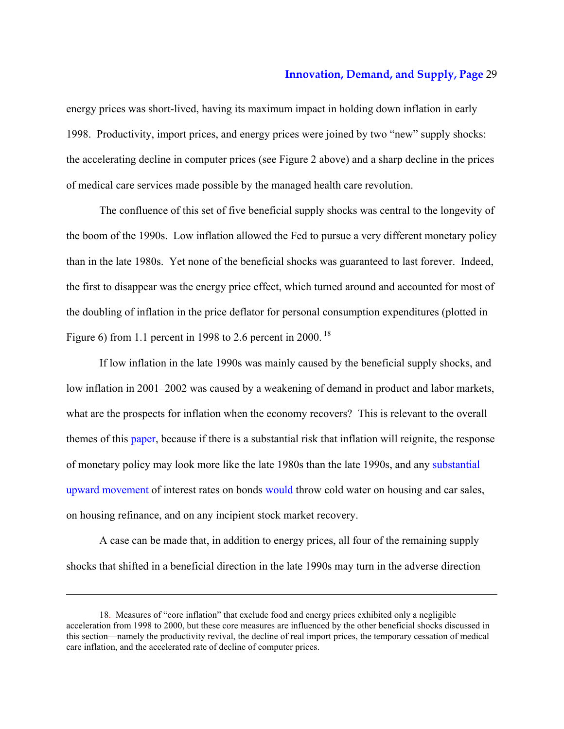energy prices was short-lived, having its maximum impact in holding down inflation in early 1998. Productivity, import prices, and energy prices were joined by two "new" supply shocks: the accelerating decline in computer prices (see Figure 2 above) and a sharp decline in the prices of medical care services made possible by the managed health care revolution.

The confluence of this set of five beneficial supply shocks was central to the longevity of the boom of the 1990s. Low inflation allowed the Fed to pursue a very different monetary policy than in the late 1980s. Yet none of the beneficial shocks was guaranteed to last forever. Indeed, the first to disappear was the energy price effect, which turned around and accounted for most of the doubling of inflation in the price deflator for personal consumption expenditures (plotted in Figure 6) from 1.1 percent in 1998 to 2.6 percent in 2000.<sup>18</sup>

If low inflation in the late 1990s was mainly caused by the beneficial supply shocks, and low inflation in 2001–2002 was caused by a weakening of demand in product and labor markets, what are the prospects for inflation when the economy recovers? This is relevant to the overall themes of this paper, because if there is a substantial risk that inflation will reignite, the response of monetary policy may look more like the late 1980s than the late 1990s, and any substantial upward movement of interest rates on bonds would throw cold water on housing and car sales, on housing refinance, and on any incipient stock market recovery.

A case can be made that, in addition to energy prices, all four of the remaining supply shocks that shifted in a beneficial direction in the late 1990s may turn in the adverse direction

<sup>18.</sup> Measures of "core inflation" that exclude food and energy prices exhibited only a negligible acceleration from 1998 to 2000, but these core measures are influenced by the other beneficial shocks discussed in this section—namely the productivity revival, the decline of real import prices, the temporary cessation of medical care inflation, and the accelerated rate of decline of computer prices.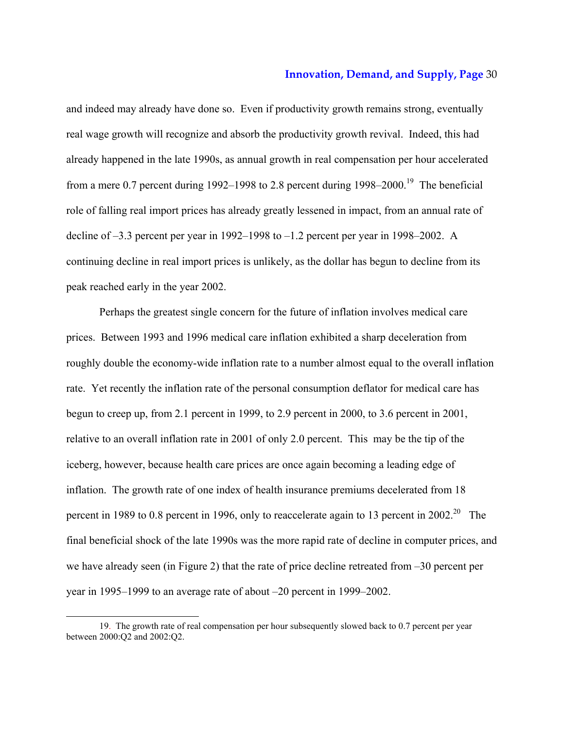and indeed may already have done so. Even if productivity growth remains strong, eventually real wage growth will recognize and absorb the productivity growth revival. Indeed, this had already happened in the late 1990s, as annual growth in real compensation per hour accelerated from a mere 0.7 percent during 1992–1998 to 2.8 percent during  $1998-2000$ .<sup>19</sup> The beneficial role of falling real import prices has already greatly lessened in impact, from an annual rate of decline of –3.3 percent per year in 1992–1998 to –1.2 percent per year in 1998–2002. A continuing decline in real import prices is unlikely, as the dollar has begun to decline from its peak reached early in the year 2002.

Perhaps the greatest single concern for the future of inflation involves medical care prices. Between 1993 and 1996 medical care inflation exhibited a sharp deceleration from roughly double the economy-wide inflation rate to a number almost equal to the overall inflation rate. Yet recently the inflation rate of the personal consumption deflator for medical care has begun to creep up, from 2.1 percent in 1999, to 2.9 percent in 2000, to 3.6 percent in 2001, relative to an overall inflation rate in 2001 of only 2.0 percent. This may be the tip of the iceberg, however, because health care prices are once again becoming a leading edge of inflation. The growth rate of one index of health insurance premiums decelerated from 18 percent in 1989 to 0.8 percent in 1996, only to reaccelerate again to 13 percent in 2002.<sup>20</sup> The final beneficial shock of the late 1990s was the more rapid rate of decline in computer prices, and we have already seen (in Figure 2) that the rate of price decline retreated from –30 percent per year in 1995–1999 to an average rate of about –20 percent in 1999–2002.

<sup>19.</sup> The growth rate of real compensation per hour subsequently slowed back to 0.7 percent per year between 2000:Q2 and 2002:Q2.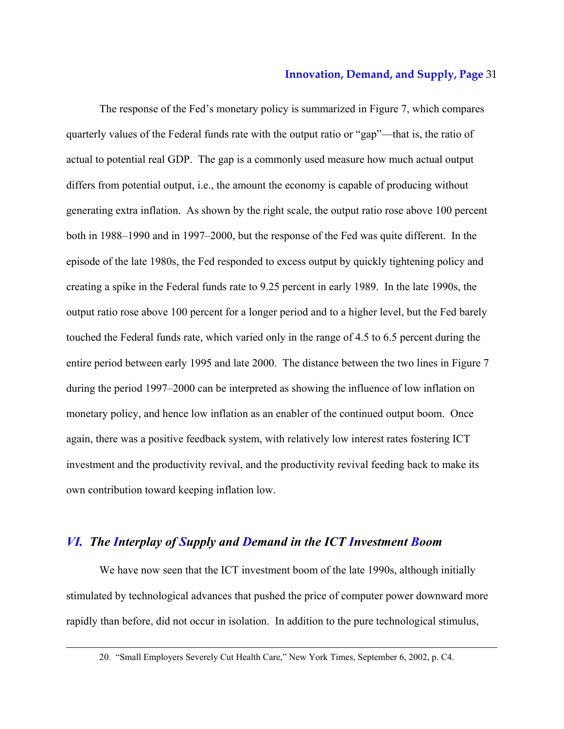The response of the Fed's monetary policy is summarized in Figure 7, which compares quarterly values of the Federal funds rate with the output ratio or "gap"—that is, the ratio of actual to potential real GDP. The gap is a commonly used measure how much actual output differs from potential output, i.e., the amount the economy is capable of producing without generating extra inflation. As shown by the right scale, the output ratio rose above 100 percent both in 1988–1990 and in 1997–2000, but the response of the Fed was quite different. In the episode of the late 1980s, the Fed responded to excess output by quickly tightening policy and creating a spike in the Federal funds rate to 9.25 percent in early 1989. In the late 1990s, the output ratio rose above 100 percent for a longer period and to a higher level, but the Fed barely touched the Federal funds rate, which varied only in the range of 4.5 to 6.5 percent during the entire period between early 1995 and late 2000. The distance between the two lines in Figure 7 during the period 1997–2000 can be interpreted as showing the influence of low inflation on monetary policy, and hence low inflation as an enabler of the continued output boom. Once again, there was a positive feedback system, with relatively low interest rates fostering ICT investment and the productivity revival, and the productivity revival feeding back to make its own contribution toward keeping inflation low.

# *VI. The Interplay of Supply and Demand in the ICT Investment Boom*

-

We have now seen that the ICT investment boom of the late 1990s, although initially stimulated by technological advances that pushed the price of computer power downward more rapidly than before, did not occur in isolation. In addition to the pure technological stimulus,

<sup>20. &</sup>quot;Small Employers Severely Cut Health Care," New York Times, September 6, 2002, p. C4.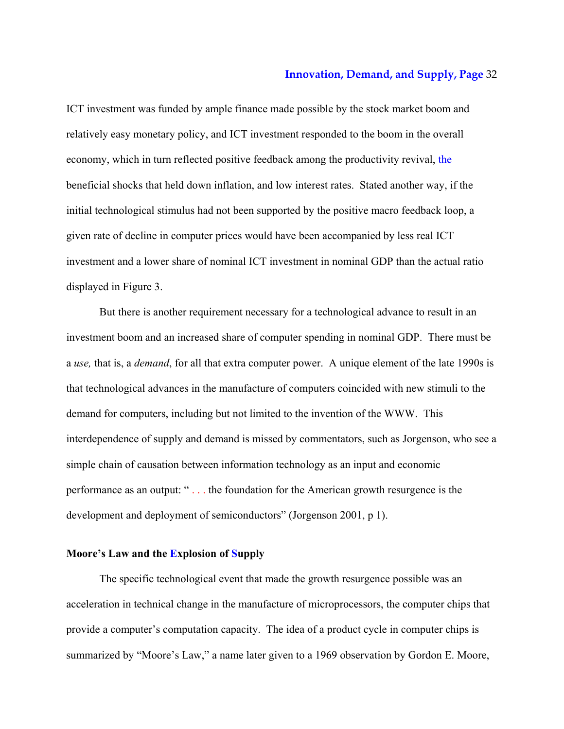ICT investment was funded by ample finance made possible by the stock market boom and relatively easy monetary policy, and ICT investment responded to the boom in the overall economy, which in turn reflected positive feedback among the productivity revival, the beneficial shocks that held down inflation, and low interest rates. Stated another way, if the initial technological stimulus had not been supported by the positive macro feedback loop, a given rate of decline in computer prices would have been accompanied by less real ICT investment and a lower share of nominal ICT investment in nominal GDP than the actual ratio displayed in Figure 3.

But there is another requirement necessary for a technological advance to result in an investment boom and an increased share of computer spending in nominal GDP. There must be a *use,* that is, a *demand*, for all that extra computer power. A unique element of the late 1990s is that technological advances in the manufacture of computers coincided with new stimuli to the demand for computers, including but not limited to the invention of the WWW. This interdependence of supply and demand is missed by commentators, such as Jorgenson, who see a simple chain of causation between information technology as an input and economic performance as an output: " . . . the foundation for the American growth resurgence is the development and deployment of semiconductors" (Jorgenson 2001, p 1).

# **Moore's Law and the Explosion of Supply**

The specific technological event that made the growth resurgence possible was an acceleration in technical change in the manufacture of microprocessors, the computer chips that provide a computer's computation capacity. The idea of a product cycle in computer chips is summarized by "Moore's Law," a name later given to a 1969 observation by Gordon E. Moore,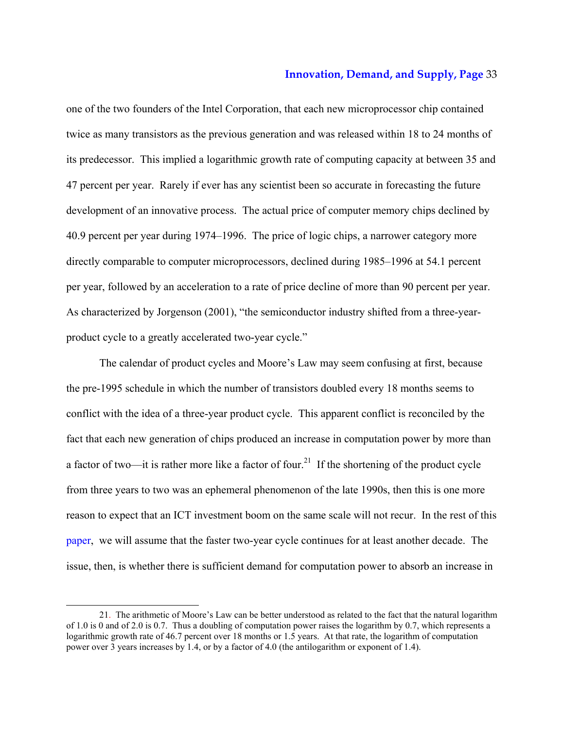one of the two founders of the Intel Corporation, that each new microprocessor chip contained twice as many transistors as the previous generation and was released within 18 to 24 months of its predecessor. This implied a logarithmic growth rate of computing capacity at between 35 and 47 percent per year. Rarely if ever has any scientist been so accurate in forecasting the future development of an innovative process. The actual price of computer memory chips declined by 40.9 percent per year during 1974–1996. The price of logic chips, a narrower category more directly comparable to computer microprocessors, declined during 1985–1996 at 54.1 percent per year, followed by an acceleration to a rate of price decline of more than 90 percent per year. As characterized by Jorgenson (2001), "the semiconductor industry shifted from a three-yearproduct cycle to a greatly accelerated two-year cycle."

The calendar of product cycles and Moore's Law may seem confusing at first, because the pre-1995 schedule in which the number of transistors doubled every 18 months seems to conflict with the idea of a three-year product cycle. This apparent conflict is reconciled by the fact that each new generation of chips produced an increase in computation power by more than a factor of two—it is rather more like a factor of four.<sup>21</sup> If the shortening of the product cycle from three years to two was an ephemeral phenomenon of the late 1990s, then this is one more reason to expect that an ICT investment boom on the same scale will not recur. In the rest of this paper, we will assume that the faster two-year cycle continues for at least another decade. The issue, then, is whether there is sufficient demand for computation power to absorb an increase in

<sup>21.</sup> The arithmetic of Moore's Law can be better understood as related to the fact that the natural logarithm of 1.0 is 0 and of 2.0 is 0.7. Thus a doubling of computation power raises the logarithm by 0.7, which represents a logarithmic growth rate of 46.7 percent over 18 months or 1.5 years. At that rate, the logarithm of computation power over 3 years increases by 1.4, or by a factor of 4.0 (the antilogarithm or exponent of 1.4).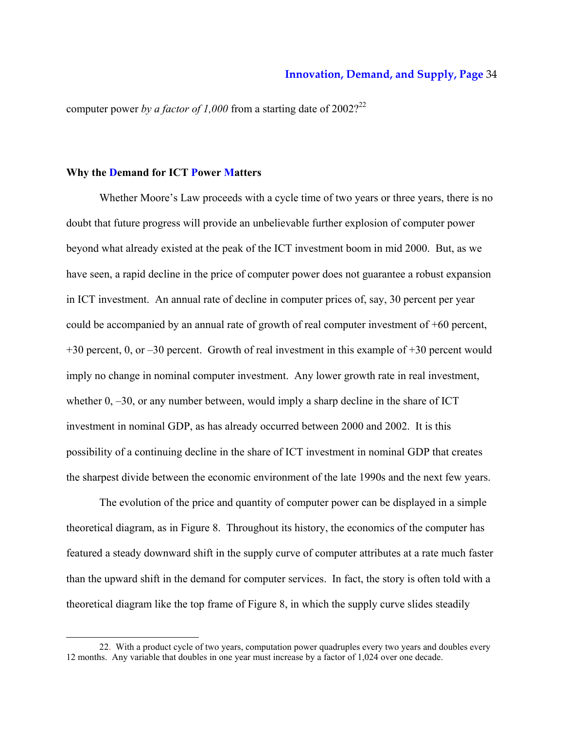computer power *by a factor of 1,000* from a starting date of  $2002$ <sup>22</sup>

## **Why the Demand for ICT Power Matters**

-

Whether Moore's Law proceeds with a cycle time of two years or three years, there is no doubt that future progress will provide an unbelievable further explosion of computer power beyond what already existed at the peak of the ICT investment boom in mid 2000. But, as we have seen, a rapid decline in the price of computer power does not guarantee a robust expansion in ICT investment. An annual rate of decline in computer prices of, say, 30 percent per year could be accompanied by an annual rate of growth of real computer investment of +60 percent, +30 percent, 0, or –30 percent. Growth of real investment in this example of +30 percent would imply no change in nominal computer investment. Any lower growth rate in real investment, whether  $0, -30$ , or any number between, would imply a sharp decline in the share of ICT investment in nominal GDP, as has already occurred between 2000 and 2002. It is this possibility of a continuing decline in the share of ICT investment in nominal GDP that creates the sharpest divide between the economic environment of the late 1990s and the next few years.

The evolution of the price and quantity of computer power can be displayed in a simple theoretical diagram, as in Figure 8. Throughout its history, the economics of the computer has featured a steady downward shift in the supply curve of computer attributes at a rate much faster than the upward shift in the demand for computer services. In fact, the story is often told with a theoretical diagram like the top frame of Figure 8, in which the supply curve slides steadily

<sup>22.</sup> With a product cycle of two years, computation power quadruples every two years and doubles every 12 months. Any variable that doubles in one year must increase by a factor of 1,024 over one decade.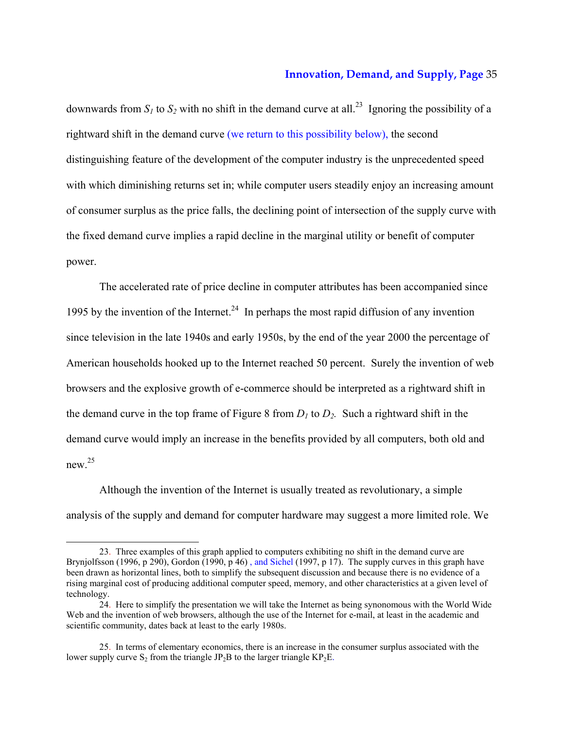downwards from  $S_1$  to  $S_2$  with no shift in the demand curve at all.<sup>23</sup> Ignoring the possibility of a rightward shift in the demand curve (we return to this possibility below), the second distinguishing feature of the development of the computer industry is the unprecedented speed with which diminishing returns set in; while computer users steadily enjoy an increasing amount of consumer surplus as the price falls, the declining point of intersection of the supply curve with the fixed demand curve implies a rapid decline in the marginal utility or benefit of computer power.

The accelerated rate of price decline in computer attributes has been accompanied since 1995 by the invention of the Internet.<sup>24</sup> In perhaps the most rapid diffusion of any invention since television in the late 1940s and early 1950s, by the end of the year 2000 the percentage of American households hooked up to the Internet reached 50 percent. Surely the invention of web browsers and the explosive growth of e-commerce should be interpreted as a rightward shift in the demand curve in the top frame of Figure 8 from  $D_1$  to  $D_2$ . Such a rightward shift in the demand curve would imply an increase in the benefits provided by all computers, both old and new  $^{25}$ 

Although the invention of the Internet is usually treated as revolutionary, a simple analysis of the supply and demand for computer hardware may suggest a more limited role. We

<sup>23.</sup> Three examples of this graph applied to computers exhibiting no shift in the demand curve are Brynjolfsson (1996, p 290), Gordon (1990, p 46), and Sichel (1997, p 17). The supply curves in this graph have been drawn as horizontal lines, both to simplify the subsequent discussion and because there is no evidence of a rising marginal cost of producing additional computer speed, memory, and other characteristics at a given level of technology.

<sup>24.</sup> Here to simplify the presentation we will take the Internet as being synonomous with the World Wide Web and the invention of web browsers, although the use of the Internet for e-mail, at least in the academic and scientific community, dates back at least to the early 1980s.

<sup>25.</sup> In terms of elementary economics, there is an increase in the consumer surplus associated with the lower supply curve  $S_2$  from the triangle JP<sub>2</sub>B to the larger triangle KP<sub>2</sub>E.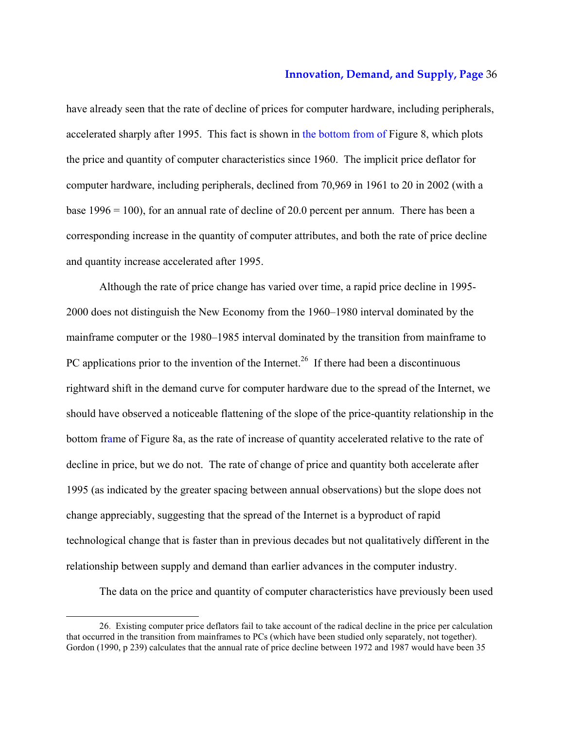have already seen that the rate of decline of prices for computer hardware, including peripherals, accelerated sharply after 1995. This fact is shown in the bottom from of Figure 8, which plots the price and quantity of computer characteristics since 1960. The implicit price deflator for computer hardware, including peripherals, declined from 70,969 in 1961 to 20 in 2002 (with a base 1996 = 100), for an annual rate of decline of 20.0 percent per annum. There has been a corresponding increase in the quantity of computer attributes, and both the rate of price decline and quantity increase accelerated after 1995.

Although the rate of price change has varied over time, a rapid price decline in 1995- 2000 does not distinguish the New Economy from the 1960–1980 interval dominated by the mainframe computer or the 1980–1985 interval dominated by the transition from mainframe to PC applications prior to the invention of the Internet.<sup>26</sup> If there had been a discontinuous rightward shift in the demand curve for computer hardware due to the spread of the Internet, we should have observed a noticeable flattening of the slope of the price-quantity relationship in the bottom frame of Figure 8a, as the rate of increase of quantity accelerated relative to the rate of decline in price, but we do not. The rate of change of price and quantity both accelerate after 1995 (as indicated by the greater spacing between annual observations) but the slope does not change appreciably, suggesting that the spread of the Internet is a byproduct of rapid technological change that is faster than in previous decades but not qualitatively different in the relationship between supply and demand than earlier advances in the computer industry.

The data on the price and quantity of computer characteristics have previously been used

<sup>26.</sup> Existing computer price deflators fail to take account of the radical decline in the price per calculation that occurred in the transition from mainframes to PCs (which have been studied only separately, not together). Gordon (1990, p 239) calculates that the annual rate of price decline between 1972 and 1987 would have been 35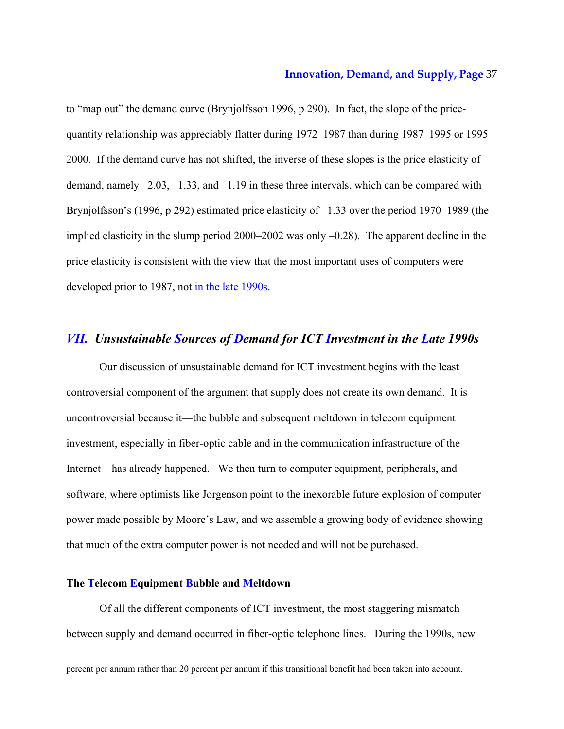to "map out" the demand curve (Brynjolfsson 1996, p 290). In fact, the slope of the pricequantity relationship was appreciably flatter during 1972–1987 than during 1987–1995 or 1995– 2000. If the demand curve has not shifted, the inverse of these slopes is the price elasticity of demand, namely –2.03, –1.33, and –1.19 in these three intervals, which can be compared with Brynjolfsson's (1996, p 292) estimated price elasticity of –1.33 over the period 1970–1989 (the implied elasticity in the slump period 2000–2002 was only –0.28). The apparent decline in the price elasticity is consistent with the view that the most important uses of computers were developed prior to 1987, not in the late 1990s.

# *VII. Unsustainable Sources of Demand for ICT Investment in the Late 1990s*

Our discussion of unsustainable demand for ICT investment begins with the least controversial component of the argument that supply does not create its own demand. It is uncontroversial because it—the bubble and subsequent meltdown in telecom equipment investment, especially in fiber-optic cable and in the communication infrastructure of the Internet—has already happened. We then turn to computer equipment, peripherals, and software, where optimists like Jorgenson point to the inexorable future explosion of computer power made possible by Moore's Law, and we assemble a growing body of evidence showing that much of the extra computer power is not needed and will not be purchased.

# **The Telecom Equipment Bubble and Meltdown**

-

Of all the different components of ICT investment, the most staggering mismatch between supply and demand occurred in fiber-optic telephone lines. During the 1990s, new

percent per annum rather than 20 percent per annum if this transitional benefit had been taken into account.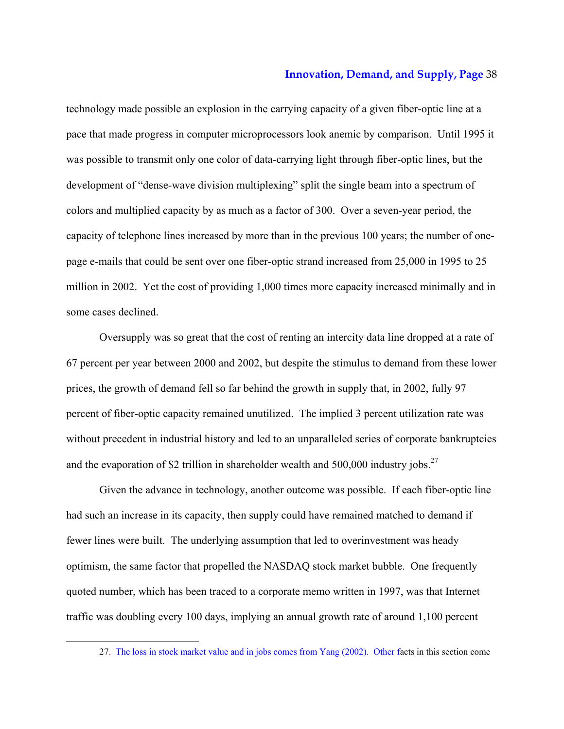technology made possible an explosion in the carrying capacity of a given fiber-optic line at a pace that made progress in computer microprocessors look anemic by comparison. Until 1995 it was possible to transmit only one color of data-carrying light through fiber-optic lines, but the development of "dense-wave division multiplexing" split the single beam into a spectrum of colors and multiplied capacity by as much as a factor of 300. Over a seven-year period, the capacity of telephone lines increased by more than in the previous 100 years; the number of onepage e-mails that could be sent over one fiber-optic strand increased from 25,000 in 1995 to 25 million in 2002. Yet the cost of providing 1,000 times more capacity increased minimally and in some cases declined.

Oversupply was so great that the cost of renting an intercity data line dropped at a rate of 67 percent per year between 2000 and 2002, but despite the stimulus to demand from these lower prices, the growth of demand fell so far behind the growth in supply that, in 2002, fully 97 percent of fiber-optic capacity remained unutilized. The implied 3 percent utilization rate was without precedent in industrial history and led to an unparalleled series of corporate bankruptcies and the evaporation of \$2 trillion in shareholder wealth and  $500,000$  industry jobs.<sup>27</sup>

Given the advance in technology, another outcome was possible. If each fiber-optic line had such an increase in its capacity, then supply could have remained matched to demand if fewer lines were built. The underlying assumption that led to overinvestment was heady optimism, the same factor that propelled the NASDAQ stock market bubble. One frequently quoted number, which has been traced to a corporate memo written in 1997, was that Internet traffic was doubling every 100 days, implying an annual growth rate of around 1,100 percent

<sup>27.</sup> The loss in stock market value and in jobs comes from Yang (2002). Other facts in this section come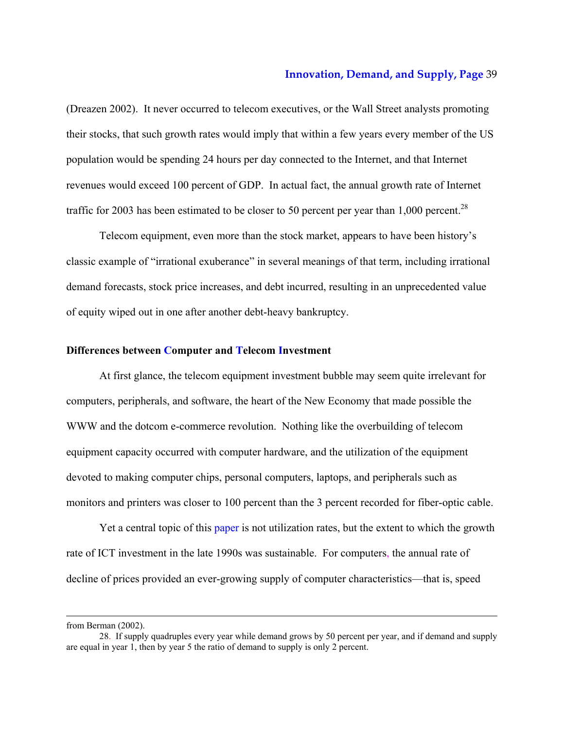(Dreazen 2002). It never occurred to telecom executives, or the Wall Street analysts promoting their stocks, that such growth rates would imply that within a few years every member of the US population would be spending 24 hours per day connected to the Internet, and that Internet revenues would exceed 100 percent of GDP. In actual fact, the annual growth rate of Internet traffic for 2003 has been estimated to be closer to 50 percent per year than 1,000 percent.<sup>28</sup>

Telecom equipment, even more than the stock market, appears to have been history's classic example of "irrational exuberance" in several meanings of that term, including irrational demand forecasts, stock price increases, and debt incurred, resulting in an unprecedented value of equity wiped out in one after another debt-heavy bankruptcy.

#### **Differences between Computer and Telecom Investment**

At first glance, the telecom equipment investment bubble may seem quite irrelevant for computers, peripherals, and software, the heart of the New Economy that made possible the WWW and the dotcom e-commerce revolution. Nothing like the overbuilding of telecom equipment capacity occurred with computer hardware, and the utilization of the equipment devoted to making computer chips, personal computers, laptops, and peripherals such as monitors and printers was closer to 100 percent than the 3 percent recorded for fiber-optic cable.

Yet a central topic of this paper is not utilization rates, but the extent to which the growth rate of ICT investment in the late 1990s was sustainable. For computers, the annual rate of decline of prices provided an ever-growing supply of computer characteristics—that is, speed

from Berman (2002).

<sup>28.</sup> If supply quadruples every year while demand grows by 50 percent per year, and if demand and supply are equal in year 1, then by year 5 the ratio of demand to supply is only 2 percent.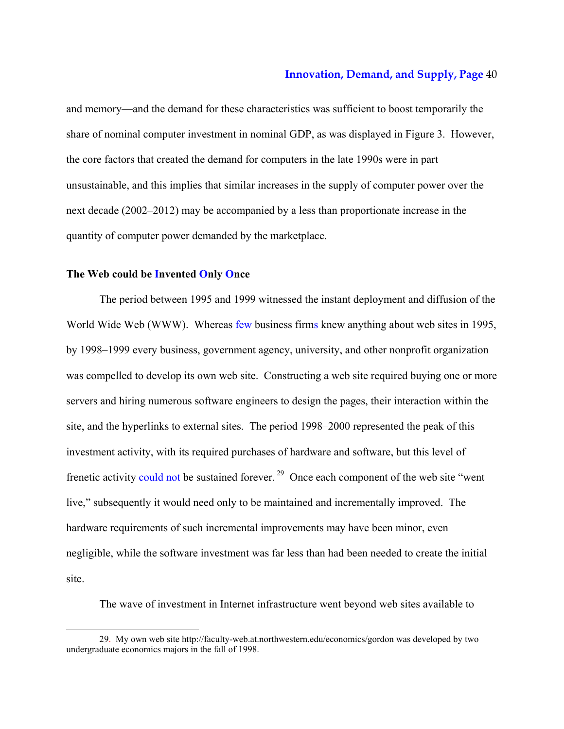and memory—and the demand for these characteristics was sufficient to boost temporarily the share of nominal computer investment in nominal GDP, as was displayed in Figure 3. However, the core factors that created the demand for computers in the late 1990s were in part unsustainable, and this implies that similar increases in the supply of computer power over the next decade (2002–2012) may be accompanied by a less than proportionate increase in the quantity of computer power demanded by the marketplace.

# **The Web could be Invented Only Once**

-

The period between 1995 and 1999 witnessed the instant deployment and diffusion of the World Wide Web (WWW). Whereas few business firms knew anything about web sites in 1995, by 1998–1999 every business, government agency, university, and other nonprofit organization was compelled to develop its own web site. Constructing a web site required buying one or more servers and hiring numerous software engineers to design the pages, their interaction within the site, and the hyperlinks to external sites. The period 1998–2000 represented the peak of this investment activity, with its required purchases of hardware and software, but this level of frenetic activity could not be sustained forever.<sup>29</sup> Once each component of the web site "went" live," subsequently it would need only to be maintained and incrementally improved. The hardware requirements of such incremental improvements may have been minor, even negligible, while the software investment was far less than had been needed to create the initial site.

The wave of investment in Internet infrastructure went beyond web sites available to

<sup>29.</sup> My own web site http://faculty-web.at.northwestern.edu/economics/gordon was developed by two undergraduate economics majors in the fall of 1998.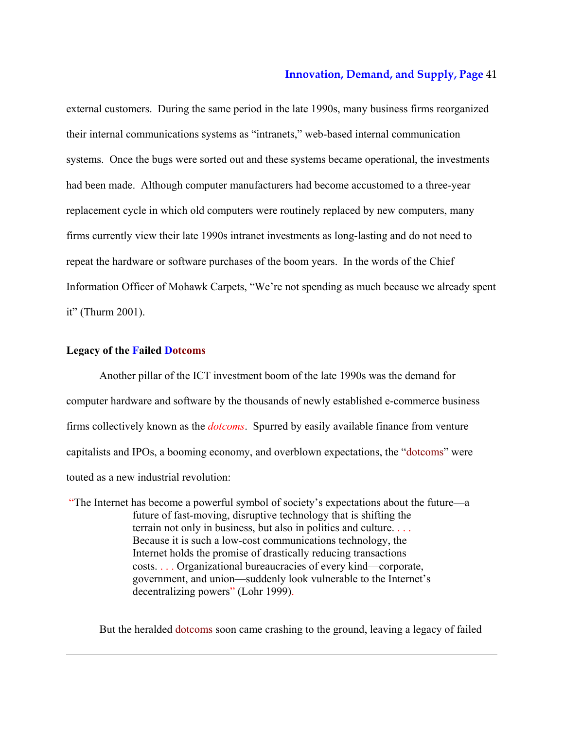external customers. During the same period in the late 1990s, many business firms reorganized their internal communications systems as "intranets," web-based internal communication systems. Once the bugs were sorted out and these systems became operational, the investments had been made. Although computer manufacturers had become accustomed to a three-year replacement cycle in which old computers were routinely replaced by new computers, many firms currently view their late 1990s intranet investments as long-lasting and do not need to repeat the hardware or software purchases of the boom years. In the words of the Chief Information Officer of Mohawk Carpets, "We're not spending as much because we already spent it" (Thurm 2001).

# **Legacy of the Failed Dotcoms**

-

Another pillar of the ICT investment boom of the late 1990s was the demand for computer hardware and software by the thousands of newly established e-commerce business firms collectively known as the *dotcoms*. Spurred by easily available finance from venture capitalists and IPOs, a booming economy, and overblown expectations, the "dotcoms" were touted as a new industrial revolution:

 "The Internet has become a powerful symbol of society's expectations about the future—a future of fast-moving, disruptive technology that is shifting the terrain not only in business, but also in politics and culture. . . . Because it is such a low-cost communications technology, the Internet holds the promise of drastically reducing transactions costs. . . . Organizational bureaucracies of every kind—corporate, government, and union—suddenly look vulnerable to the Internet's decentralizing powers" (Lohr 1999).

But the heralded dotcoms soon came crashing to the ground, leaving a legacy of failed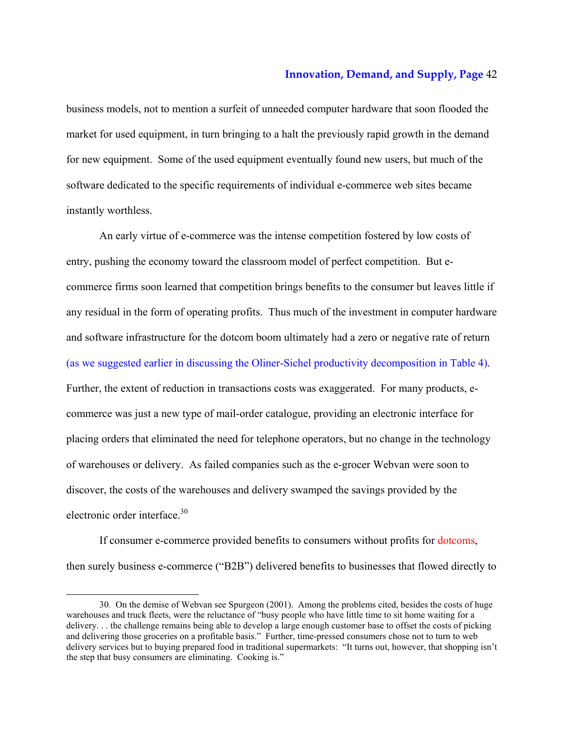business models, not to mention a surfeit of unneeded computer hardware that soon flooded the market for used equipment, in turn bringing to a halt the previously rapid growth in the demand for new equipment. Some of the used equipment eventually found new users, but much of the software dedicated to the specific requirements of individual e-commerce web sites became instantly worthless.

An early virtue of e-commerce was the intense competition fostered by low costs of entry, pushing the economy toward the classroom model of perfect competition. But ecommerce firms soon learned that competition brings benefits to the consumer but leaves little if any residual in the form of operating profits. Thus much of the investment in computer hardware and software infrastructure for the dotcom boom ultimately had a zero or negative rate of return (as we suggested earlier in discussing the Oliner-Sichel productivity decomposition in Table 4). Further, the extent of reduction in transactions costs was exaggerated. For many products, ecommerce was just a new type of mail-order catalogue, providing an electronic interface for placing orders that eliminated the need for telephone operators, but no change in the technology of warehouses or delivery. As failed companies such as the e-grocer Webvan were soon to discover, the costs of the warehouses and delivery swamped the savings provided by the electronic order interface.<sup>30</sup>

If consumer e-commerce provided benefits to consumers without profits for dotcoms, then surely business e-commerce ("B2B") delivered benefits to businesses that flowed directly to

<sup>30.</sup> On the demise of Webvan see Spurgeon (2001). Among the problems cited, besides the costs of huge warehouses and truck fleets, were the reluctance of "busy people who have little time to sit home waiting for a delivery. . . the challenge remains being able to develop a large enough customer base to offset the costs of picking and delivering those groceries on a profitable basis." Further, time-pressed consumers chose not to turn to web delivery services but to buying prepared food in traditional supermarkets: "It turns out, however, that shopping isn't the step that busy consumers are eliminating. Cooking is."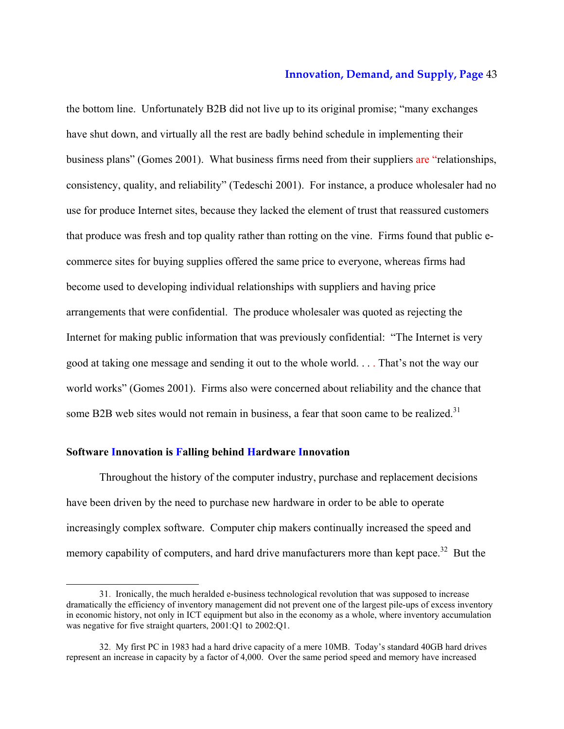the bottom line. Unfortunately B2B did not live up to its original promise; "many exchanges have shut down, and virtually all the rest are badly behind schedule in implementing their business plans" (Gomes 2001). What business firms need from their suppliers are "relationships, consistency, quality, and reliability" (Tedeschi 2001). For instance, a produce wholesaler had no use for produce Internet sites, because they lacked the element of trust that reassured customers that produce was fresh and top quality rather than rotting on the vine. Firms found that public ecommerce sites for buying supplies offered the same price to everyone, whereas firms had become used to developing individual relationships with suppliers and having price arrangements that were confidential. The produce wholesaler was quoted as rejecting the Internet for making public information that was previously confidential: "The Internet is very good at taking one message and sending it out to the whole world. . . . That's not the way our world works" (Gomes 2001). Firms also were concerned about reliability and the chance that some B2B web sites would not remain in business, a fear that soon came to be realized.<sup>31</sup>

# **Software Innovation is Falling behind Hardware Innovation**

-

Throughout the history of the computer industry, purchase and replacement decisions have been driven by the need to purchase new hardware in order to be able to operate increasingly complex software. Computer chip makers continually increased the speed and memory capability of computers, and hard drive manufacturers more than kept pace.<sup>32</sup> But the

<sup>31.</sup> Ironically, the much heralded e-business technological revolution that was supposed to increase dramatically the efficiency of inventory management did not prevent one of the largest pile-ups of excess inventory in economic history, not only in ICT equipment but also in the economy as a whole, where inventory accumulation was negative for five straight quarters, 2001:Q1 to 2002:Q1.

<sup>32.</sup> My first PC in 1983 had a hard drive capacity of a mere 10MB. Today's standard 40GB hard drives represent an increase in capacity by a factor of 4,000. Over the same period speed and memory have increased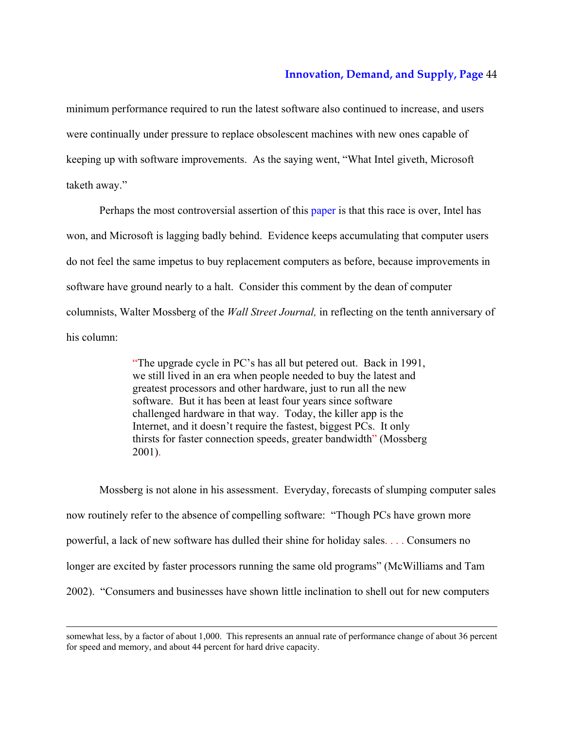minimum performance required to run the latest software also continued to increase, and users were continually under pressure to replace obsolescent machines with new ones capable of keeping up with software improvements. As the saying went, "What Intel giveth, Microsoft taketh away."

Perhaps the most controversial assertion of this paper is that this race is over, Intel has won, and Microsoft is lagging badly behind. Evidence keeps accumulating that computer users do not feel the same impetus to buy replacement computers as before, because improvements in software have ground nearly to a halt. Consider this comment by the dean of computer columnists, Walter Mossberg of the *Wall Street Journal,* in reflecting on the tenth anniversary of his column:

> "The upgrade cycle in PC's has all but petered out. Back in 1991, we still lived in an era when people needed to buy the latest and greatest processors and other hardware, just to run all the new software. But it has been at least four years since software challenged hardware in that way. Today, the killer app is the Internet, and it doesn't require the fastest, biggest PCs. It only thirsts for faster connection speeds, greater bandwidth" (Mossberg 2001).

Mossberg is not alone in his assessment. Everyday, forecasts of slumping computer sales now routinely refer to the absence of compelling software: "Though PCs have grown more powerful, a lack of new software has dulled their shine for holiday sales. . . . Consumers no longer are excited by faster processors running the same old programs" (McWilliams and Tam 2002). "Consumers and businesses have shown little inclination to shell out for new computers

somewhat less, by a factor of about 1,000. This represents an annual rate of performance change of about 36 percent for speed and memory, and about 44 percent for hard drive capacity.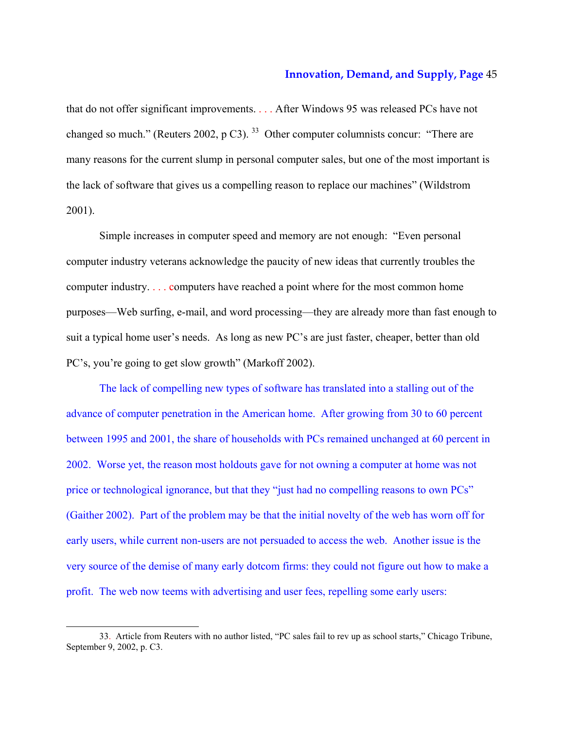that do not offer significant improvements. . . . After Windows 95 was released PCs have not changed so much." (Reuters 2002, p C3).  $33$  Other computer columnists concur: "There are many reasons for the current slump in personal computer sales, but one of the most important is the lack of software that gives us a compelling reason to replace our machines" (Wildstrom 2001).

Simple increases in computer speed and memory are not enough: "Even personal computer industry veterans acknowledge the paucity of new ideas that currently troubles the computer industry. . . . computers have reached a point where for the most common home purposes—Web surfing, e-mail, and word processing—they are already more than fast enough to suit a typical home user's needs. As long as new PC's are just faster, cheaper, better than old PC's, you're going to get slow growth" (Markoff 2002).

The lack of compelling new types of software has translated into a stalling out of the advance of computer penetration in the American home. After growing from 30 to 60 percent between 1995 and 2001, the share of households with PCs remained unchanged at 60 percent in 2002. Worse yet, the reason most holdouts gave for not owning a computer at home was not price or technological ignorance, but that they "just had no compelling reasons to own PCs" (Gaither 2002). Part of the problem may be that the initial novelty of the web has worn off for early users, while current non-users are not persuaded to access the web. Another issue is the very source of the demise of many early dotcom firms: they could not figure out how to make a profit. The web now teems with advertising and user fees, repelling some early users:

<sup>33.</sup> Article from Reuters with no author listed, "PC sales fail to rev up as school starts," Chicago Tribune, September 9, 2002, p. C3.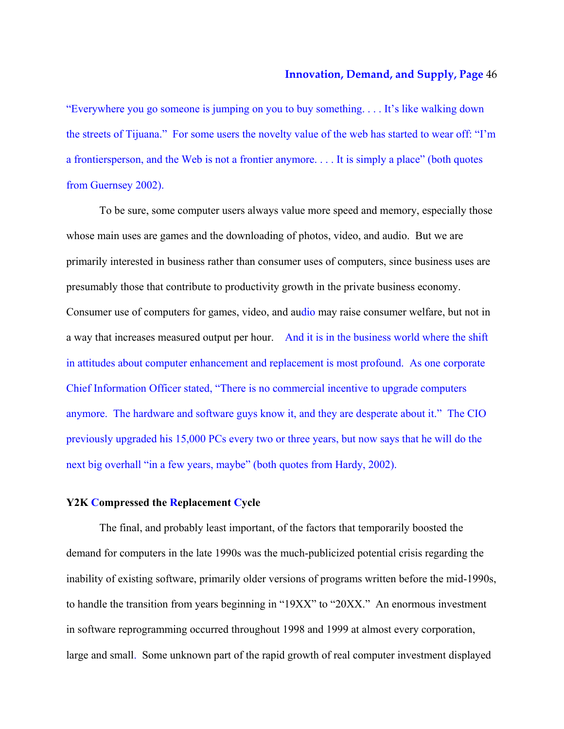"Everywhere you go someone is jumping on you to buy something. . . . It's like walking down the streets of Tijuana." For some users the novelty value of the web has started to wear off: "I'm a frontiersperson, and the Web is not a frontier anymore. . . . It is simply a place" (both quotes from Guernsey 2002).

To be sure, some computer users always value more speed and memory, especially those whose main uses are games and the downloading of photos, video, and audio. But we are primarily interested in business rather than consumer uses of computers, since business uses are presumably those that contribute to productivity growth in the private business economy. Consumer use of computers for games, video, and audio may raise consumer welfare, but not in a way that increases measured output per hour. And it is in the business world where the shift in attitudes about computer enhancement and replacement is most profound. As one corporate Chief Information Officer stated, "There is no commercial incentive to upgrade computers anymore. The hardware and software guys know it, and they are desperate about it." The CIO previously upgraded his 15,000 PCs every two or three years, but now says that he will do the next big overhall "in a few years, maybe" (both quotes from Hardy, 2002).

## **Y2K Compressed the Replacement Cycle**

The final, and probably least important, of the factors that temporarily boosted the demand for computers in the late 1990s was the much-publicized potential crisis regarding the inability of existing software, primarily older versions of programs written before the mid-1990s, to handle the transition from years beginning in "19XX" to "20XX." An enormous investment in software reprogramming occurred throughout 1998 and 1999 at almost every corporation, large and small. Some unknown part of the rapid growth of real computer investment displayed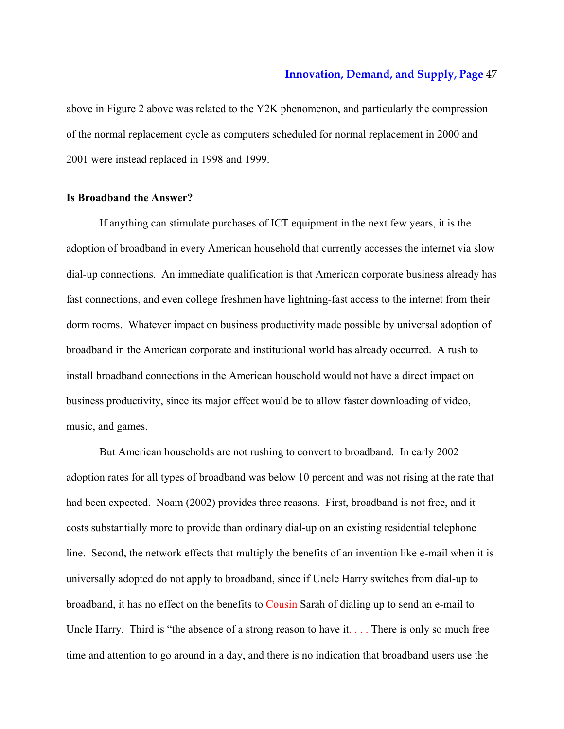above in Figure 2 above was related to the Y2K phenomenon, and particularly the compression of the normal replacement cycle as computers scheduled for normal replacement in 2000 and 2001 were instead replaced in 1998 and 1999.

# **Is Broadband the Answer?**

If anything can stimulate purchases of ICT equipment in the next few years, it is the adoption of broadband in every American household that currently accesses the internet via slow dial-up connections. An immediate qualification is that American corporate business already has fast connections, and even college freshmen have lightning-fast access to the internet from their dorm rooms. Whatever impact on business productivity made possible by universal adoption of broadband in the American corporate and institutional world has already occurred. A rush to install broadband connections in the American household would not have a direct impact on business productivity, since its major effect would be to allow faster downloading of video, music, and games.

 But American households are not rushing to convert to broadband. In early 2002 adoption rates for all types of broadband was below 10 percent and was not rising at the rate that had been expected. Noam (2002) provides three reasons. First, broadband is not free, and it costs substantially more to provide than ordinary dial-up on an existing residential telephone line. Second, the network effects that multiply the benefits of an invention like e-mail when it is universally adopted do not apply to broadband, since if Uncle Harry switches from dial-up to broadband, it has no effect on the benefits to Cousin Sarah of dialing up to send an e-mail to Uncle Harry. Third is "the absence of a strong reason to have it.... There is only so much free time and attention to go around in a day, and there is no indication that broadband users use the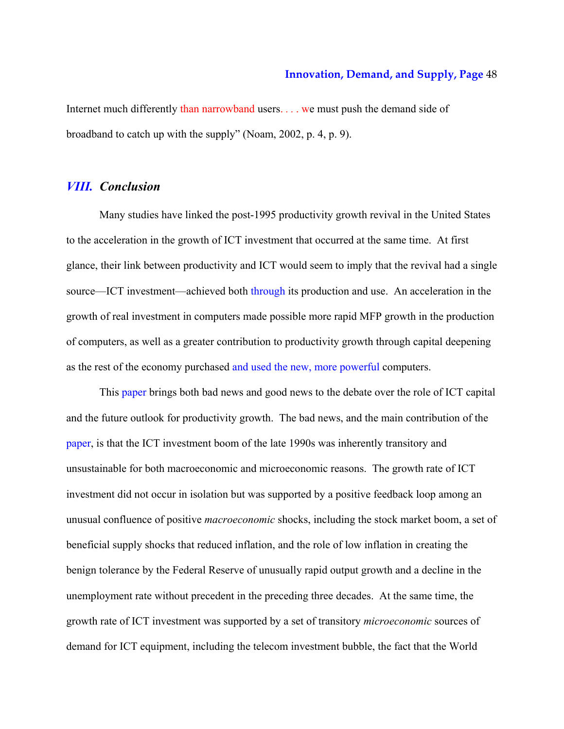Internet much differently than narrowband users. . . . we must push the demand side of broadband to catch up with the supply" (Noam, 2002, p. 4, p. 9).

# *VIII. Conclusion*

Many studies have linked the post-1995 productivity growth revival in the United States to the acceleration in the growth of ICT investment that occurred at the same time. At first glance, their link between productivity and ICT would seem to imply that the revival had a single source—ICT investment—achieved both through its production and use. An acceleration in the growth of real investment in computers made possible more rapid MFP growth in the production of computers, as well as a greater contribution to productivity growth through capital deepening as the rest of the economy purchased and used the new, more powerful computers.

This paper brings both bad news and good news to the debate over the role of ICT capital and the future outlook for productivity growth. The bad news, and the main contribution of the paper, is that the ICT investment boom of the late 1990s was inherently transitory and unsustainable for both macroeconomic and microeconomic reasons. The growth rate of ICT investment did not occur in isolation but was supported by a positive feedback loop among an unusual confluence of positive *macroeconomic* shocks, including the stock market boom, a set of beneficial supply shocks that reduced inflation, and the role of low inflation in creating the benign tolerance by the Federal Reserve of unusually rapid output growth and a decline in the unemployment rate without precedent in the preceding three decades. At the same time, the growth rate of ICT investment was supported by a set of transitory *microeconomic* sources of demand for ICT equipment, including the telecom investment bubble, the fact that the World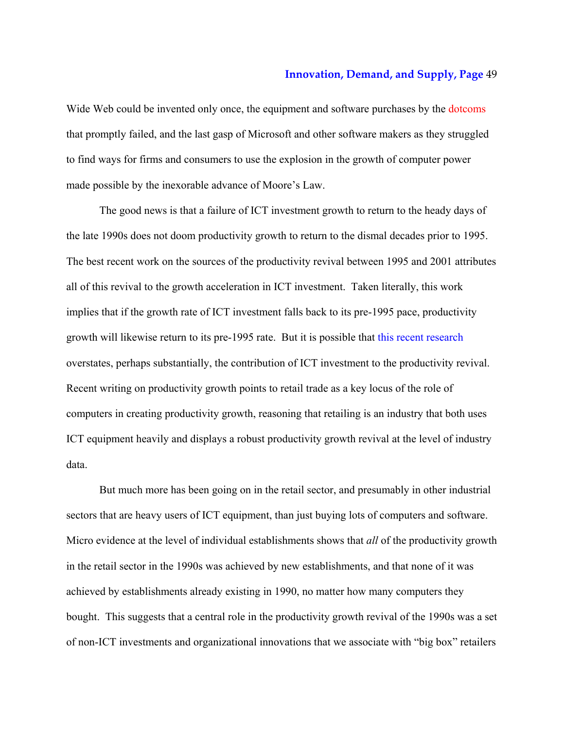Wide Web could be invented only once, the equipment and software purchases by the dotcoms that promptly failed, and the last gasp of Microsoft and other software makers as they struggled to find ways for firms and consumers to use the explosion in the growth of computer power made possible by the inexorable advance of Moore's Law.

The good news is that a failure of ICT investment growth to return to the heady days of the late 1990s does not doom productivity growth to return to the dismal decades prior to 1995. The best recent work on the sources of the productivity revival between 1995 and 2001 attributes all of this revival to the growth acceleration in ICT investment. Taken literally, this work implies that if the growth rate of ICT investment falls back to its pre-1995 pace, productivity growth will likewise return to its pre-1995 rate. But it is possible that this recent research overstates, perhaps substantially, the contribution of ICT investment to the productivity revival. Recent writing on productivity growth points to retail trade as a key locus of the role of computers in creating productivity growth, reasoning that retailing is an industry that both uses ICT equipment heavily and displays a robust productivity growth revival at the level of industry data.

But much more has been going on in the retail sector, and presumably in other industrial sectors that are heavy users of ICT equipment, than just buying lots of computers and software. Micro evidence at the level of individual establishments shows that *all* of the productivity growth in the retail sector in the 1990s was achieved by new establishments, and that none of it was achieved by establishments already existing in 1990, no matter how many computers they bought. This suggests that a central role in the productivity growth revival of the 1990s was a set of non-ICT investments and organizational innovations that we associate with "big box" retailers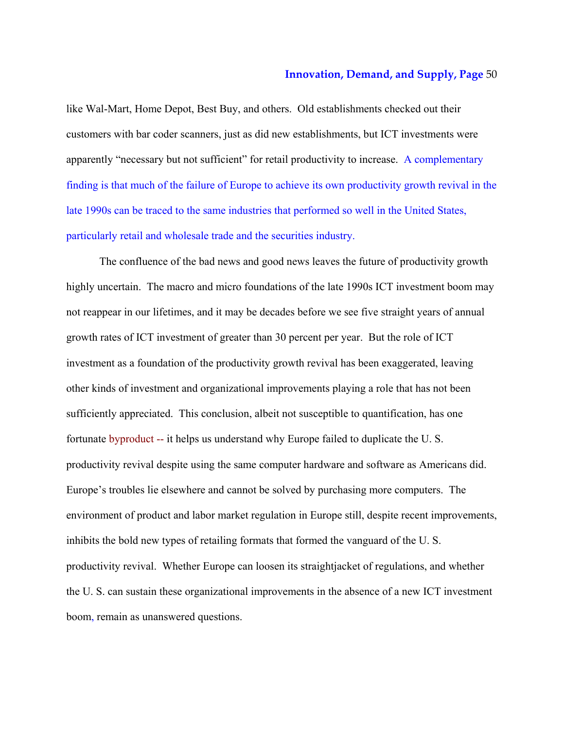like Wal-Mart, Home Depot, Best Buy, and others. Old establishments checked out their customers with bar coder scanners, just as did new establishments, but ICT investments were apparently "necessary but not sufficient" for retail productivity to increase. A complementary finding is that much of the failure of Europe to achieve its own productivity growth revival in the late 1990s can be traced to the same industries that performed so well in the United States, particularly retail and wholesale trade and the securities industry.

The confluence of the bad news and good news leaves the future of productivity growth highly uncertain. The macro and micro foundations of the late 1990s ICT investment boom may not reappear in our lifetimes, and it may be decades before we see five straight years of annual growth rates of ICT investment of greater than 30 percent per year. But the role of ICT investment as a foundation of the productivity growth revival has been exaggerated, leaving other kinds of investment and organizational improvements playing a role that has not been sufficiently appreciated. This conclusion, albeit not susceptible to quantification, has one fortunate byproduct -- it helps us understand why Europe failed to duplicate the U. S. productivity revival despite using the same computer hardware and software as Americans did. Europe's troubles lie elsewhere and cannot be solved by purchasing more computers. The environment of product and labor market regulation in Europe still, despite recent improvements, inhibits the bold new types of retailing formats that formed the vanguard of the U. S. productivity revival. Whether Europe can loosen its straightjacket of regulations, and whether the U. S. can sustain these organizational improvements in the absence of a new ICT investment boom, remain as unanswered questions.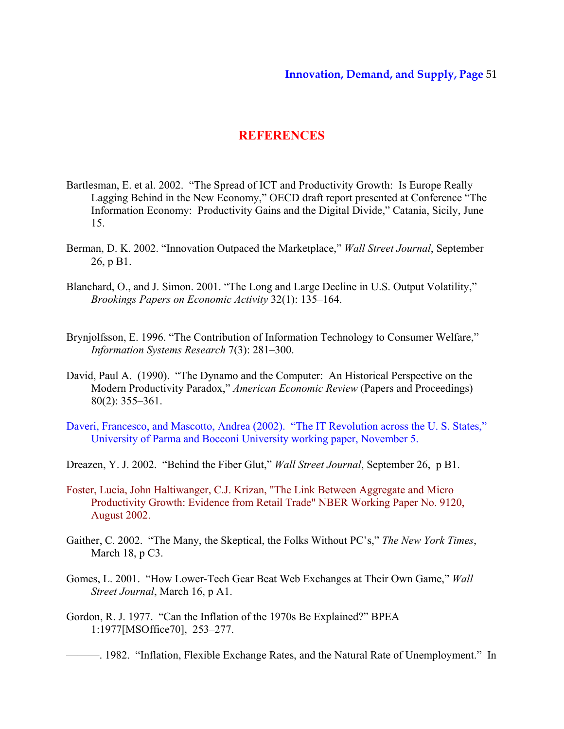# **REFERENCES**

- Bartlesman, E. et al. 2002. "The Spread of ICT and Productivity Growth: Is Europe Really Lagging Behind in the New Economy," OECD draft report presented at Conference "The Information Economy: Productivity Gains and the Digital Divide," Catania, Sicily, June 15.
- Berman, D. K. 2002. "Innovation Outpaced the Marketplace," *Wall Street Journal*, September 26, p B1.
- Blanchard, O., and J. Simon. 2001. "The Long and Large Decline in U.S. Output Volatility," *Brookings Papers on Economic Activity* 32(1): 135–164.
- Brynjolfsson, E. 1996. "The Contribution of Information Technology to Consumer Welfare," *Information Systems Research* 7(3): 281–300.
- David, Paul A. (1990). "The Dynamo and the Computer: An Historical Perspective on the Modern Productivity Paradox," *American Economic Review* (Papers and Proceedings) 80(2): 355–361.
- Daveri, Francesco, and Mascotto, Andrea (2002). "The IT Revolution across the U. S. States," University of Parma and Bocconi University working paper, November 5.
- Dreazen, Y. J. 2002. "Behind the Fiber Glut," *Wall Street Journal*, September 26, p B1.
- Foster, Lucia, John Haltiwanger, C.J. Krizan, "The Link Between Aggregate and Micro Productivity Growth: Evidence from Retail Trade" NBER Working Paper No. 9120, August 2002.
- Gaither, C. 2002. "The Many, the Skeptical, the Folks Without PC's," *The New York Times*, March 18, p C3.
- Gomes, L. 2001. "How Lower-Tech Gear Beat Web Exchanges at Their Own Game," *Wall Street Journal*, March 16, p A1.
- Gordon, R. J. 1977. "Can the Inflation of the 1970s Be Explained?" BPEA 1:1977[MSOffice70], 253–277.

———. 1982. "Inflation, Flexible Exchange Rates, and the Natural Rate of Unemployment." In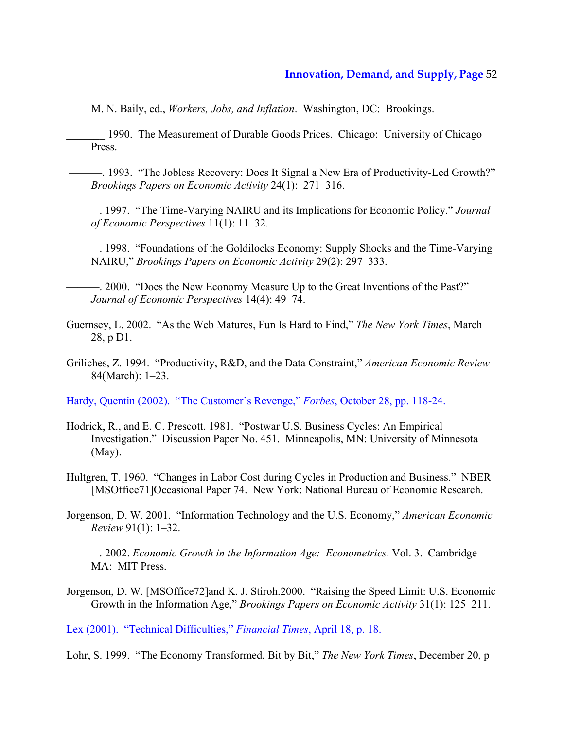M. N. Baily, ed., *Workers, Jobs, and Inflation*. Washington, DC: Brookings.

1990. The Measurement of Durable Goods Prices. Chicago: University of Chicago Press.

——. 1993. "The Jobless Recovery: Does It Signal a New Era of Productivity-Led Growth?" *Brookings Papers on Economic Activity* 24(1): 271–316.

———. 1997. "The Time-Varying NAIRU and its Implications for Economic Policy." *Journal of Economic Perspectives* 11(1): 11–32.

———. 1998. "Foundations of the Goldilocks Economy: Supply Shocks and the Time-Varying NAIRU," *Brookings Papers on Economic Activity* 29(2): 297–333.

———. 2000. "Does the New Economy Measure Up to the Great Inventions of the Past?" *Journal of Economic Perspectives* 14(4): 49–74.

Guernsey, L. 2002. "As the Web Matures, Fun Is Hard to Find," *The New York Times*, March 28, p D1.

Griliches, Z. 1994. "Productivity, R&D, and the Data Constraint," *American Economic Review* 84(March): 1–23.

Hardy, Quentin (2002). "The Customer's Revenge," *Forbes*, October 28, pp. 118-24.

- Hodrick, R., and E. C. Prescott. 1981. "Postwar U.S. Business Cycles: An Empirical Investigation." Discussion Paper No. 451. Minneapolis, MN: University of Minnesota (May).
- Hultgren, T. 1960. "Changes in Labor Cost during Cycles in Production and Business." NBER [MSOffice71]Occasional Paper 74. New York: National Bureau of Economic Research.
- Jorgenson, D. W. 2001. "Information Technology and the U.S. Economy," *American Economic Review* 91(1): 1–32.

———. 2002. *Economic Growth in the Information Age: Econometrics*. Vol. 3. Cambridge MA: MIT Press.

Jorgenson, D. W. [MSOffice72]and K. J. Stiroh.2000. "Raising the Speed Limit: U.S. Economic Growth in the Information Age," *Brookings Papers on Economic Activity* 31(1): 125–211.

Lex (2001). "Technical Difficulties," *Financial Times*, April 18, p. 18.

Lohr, S. 1999. "The Economy Transformed, Bit by Bit," *The New York Times*, December 20, p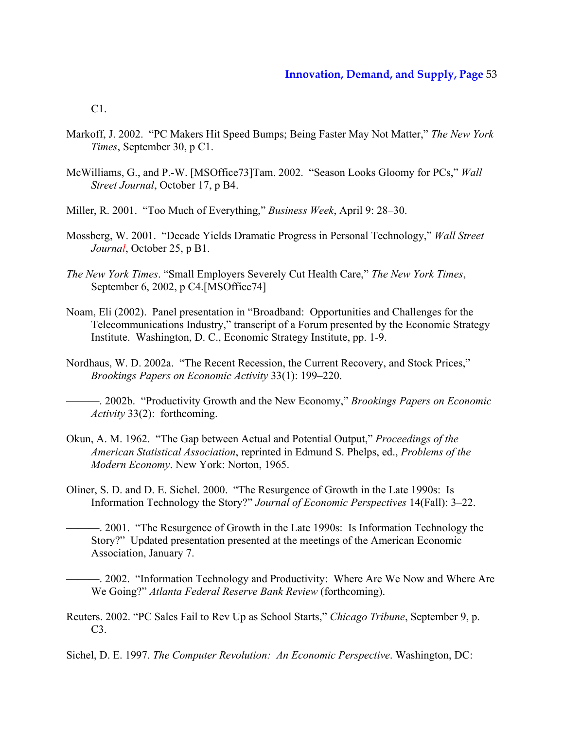C1.

- Markoff, J. 2002. "PC Makers Hit Speed Bumps; Being Faster May Not Matter," *The New York Times*, September 30, p C1.
- McWilliams, G., and P.-W. [MSOffice73]Tam. 2002. "Season Looks Gloomy for PCs," *Wall Street Journal*, October 17, p B4.
- Miller, R. 2001. "Too Much of Everything," *Business Week*, April 9: 28–30.
- Mossberg, W. 2001. "Decade Yields Dramatic Progress in Personal Technology," *Wall Street Journal*, October 25, p B1.
- *The New York Times*. "Small Employers Severely Cut Health Care," *The New York Times*, September 6, 2002, p C4.[MSOffice74]
- Noam, Eli (2002). Panel presentation in "Broadband: Opportunities and Challenges for the Telecommunications Industry," transcript of a Forum presented by the Economic Strategy Institute. Washington, D. C., Economic Strategy Institute, pp. 1-9.
- Nordhaus, W. D. 2002a. "The Recent Recession, the Current Recovery, and Stock Prices," *Brookings Papers on Economic Activity* 33(1): 199–220.

- Okun, A. M. 1962. "The Gap between Actual and Potential Output," *Proceedings of the American Statistical Association*, reprinted in Edmund S. Phelps, ed., *Problems of the Modern Economy*. New York: Norton, 1965.
- Oliner, S. D. and D. E. Sichel. 2000. "The Resurgence of Growth in the Late 1990s: Is Information Technology the Story?" *Journal of Economic Perspectives* 14(Fall): 3–22.
- ———. 2001. "The Resurgence of Growth in the Late 1990s: Is Information Technology the Story?" Updated presentation presented at the meetings of the American Economic Association, January 7.

———. 2002. "Information Technology and Productivity: Where Are We Now and Where Are We Going?" *Atlanta Federal Reserve Bank Review* (forthcoming).

- Reuters. 2002. "PC Sales Fail to Rev Up as School Starts," *Chicago Tribune*, September 9, p.  $C3$
- Sichel, D. E. 1997. *The Computer Revolution: An Economic Perspective*. Washington, DC:

<sup>———. 2002</sup>b. "Productivity Growth and the New Economy," *Brookings Papers on Economic Activity* 33(2): forthcoming.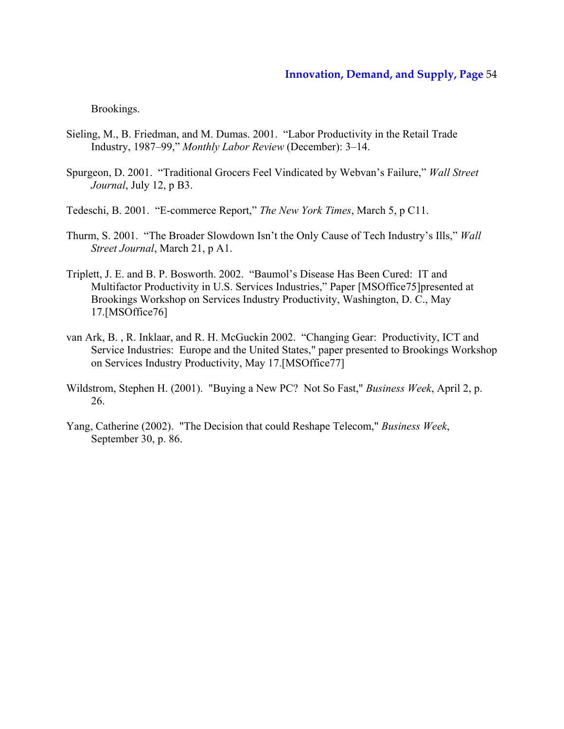Brookings.

- Sieling, M., B. Friedman, and M. Dumas. 2001. "Labor Productivity in the Retail Trade Industry, 1987–99," *Monthly Labor Review* (December): 3–14.
- Spurgeon, D. 2001. "Traditional Grocers Feel Vindicated by Webvan's Failure," *Wall Street Journal*, July 12, p B3.
- Tedeschi, B. 2001. "E-commerce Report," *The New York Times*, March 5, p C11.
- Thurm, S. 2001. "The Broader Slowdown Isn't the Only Cause of Tech Industry's Ills," *Wall Street Journal*, March 21, p A1.
- Triplett, J. E. and B. P. Bosworth. 2002. "Baumol's Disease Has Been Cured: IT and Multifactor Productivity in U.S. Services Industries," Paper [MSOffice75]presented at Brookings Workshop on Services Industry Productivity, Washington, D. C., May 17.[MSOffice76]
- van Ark, B. , R. Inklaar, and R. H. McGuckin 2002. "Changing Gear: Productivity, ICT and Service Industries: Europe and the United States," paper presented to Brookings Workshop on Services Industry Productivity, May 17.[MSOffice77]
- Wildstrom, Stephen H. (2001). "Buying a New PC? Not So Fast," *Business Week*, April 2, p. 26.
- Yang, Catherine (2002). "The Decision that could Reshape Telecom," *Business Week*, September 30, p. 86.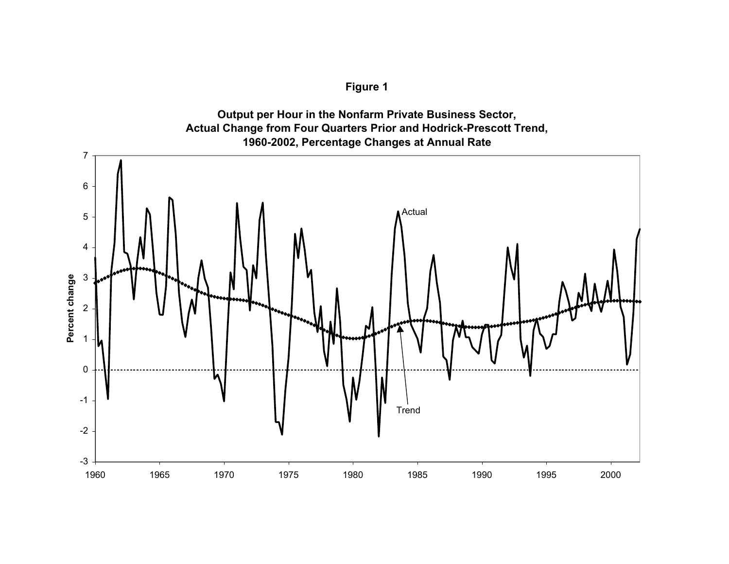# **Figure 1**



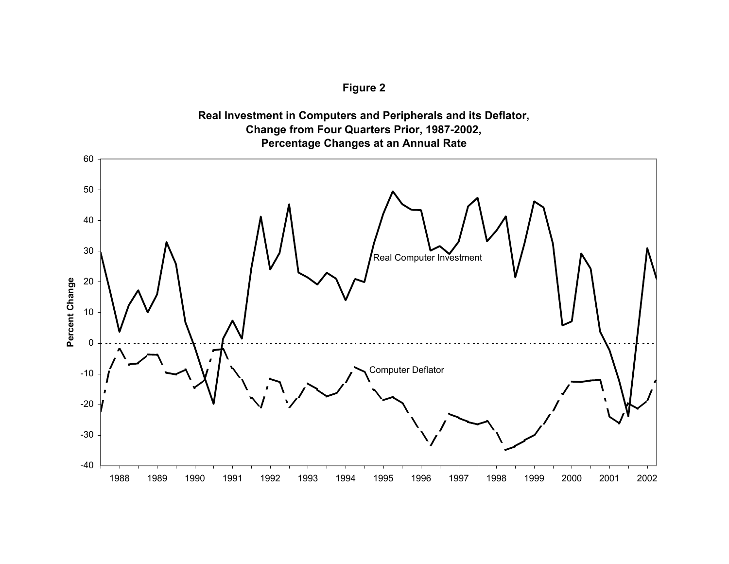



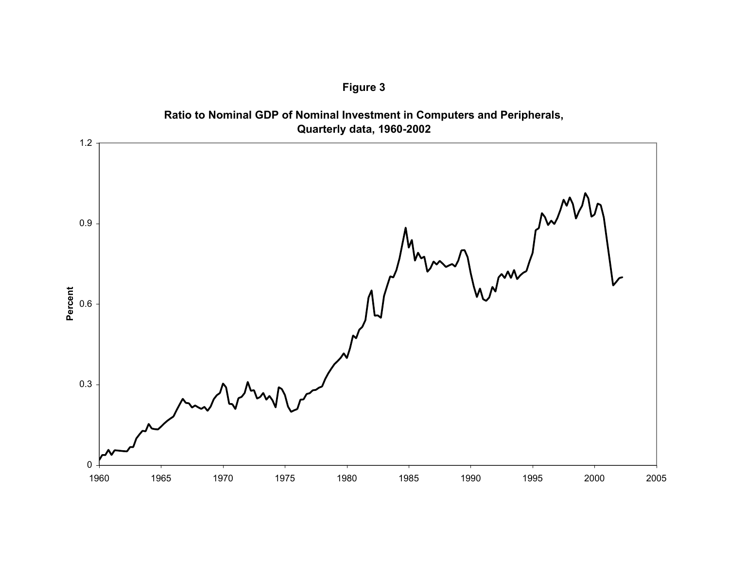



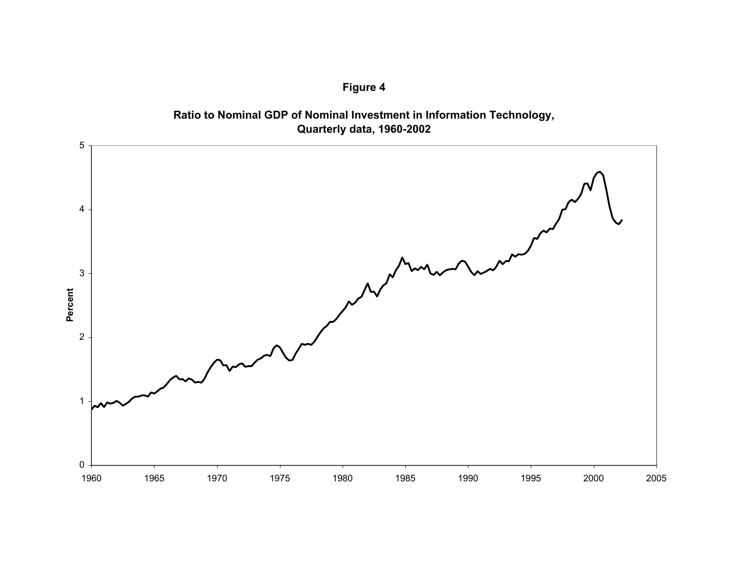



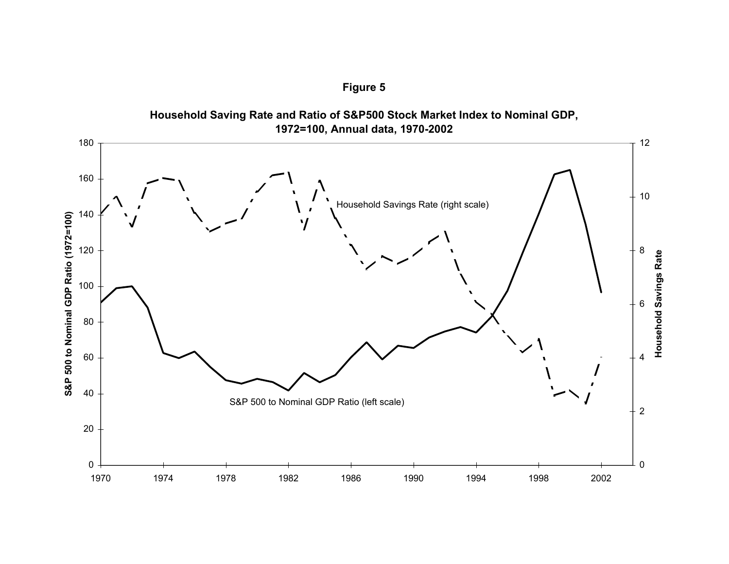**Figure 5**



**Household Saving Rate and Ratio of S&P500 Stock Market Index to Nominal GDP,**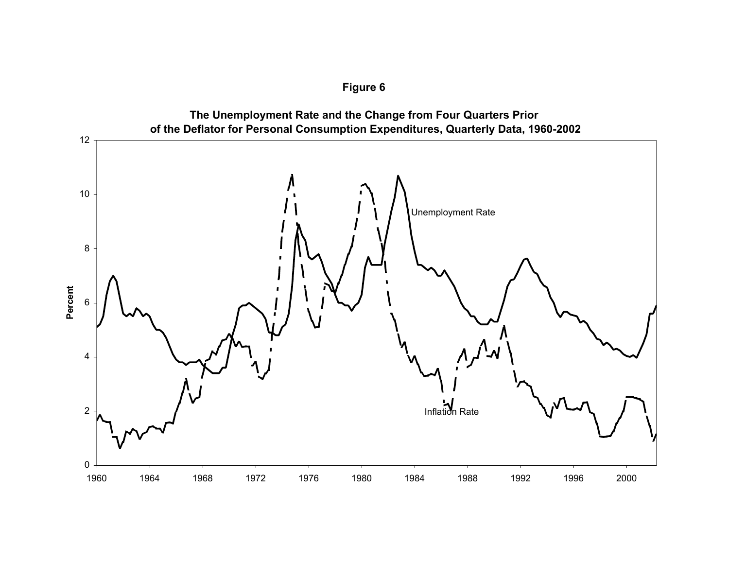

**Figure 6**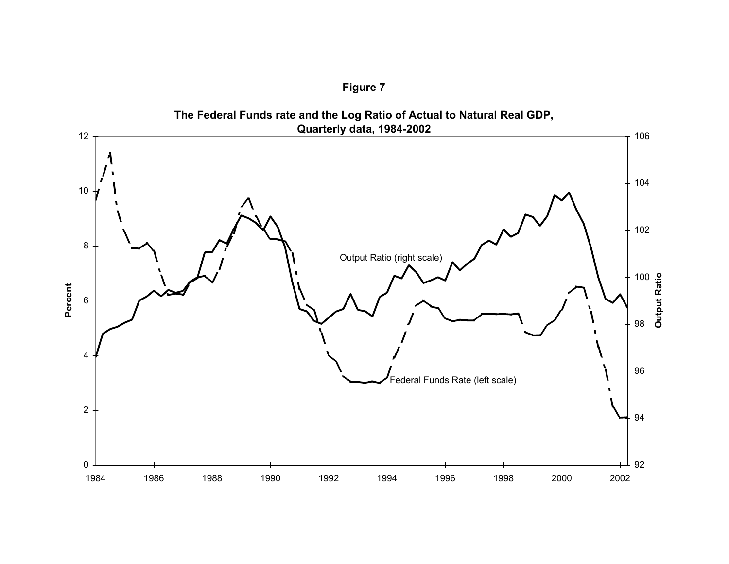

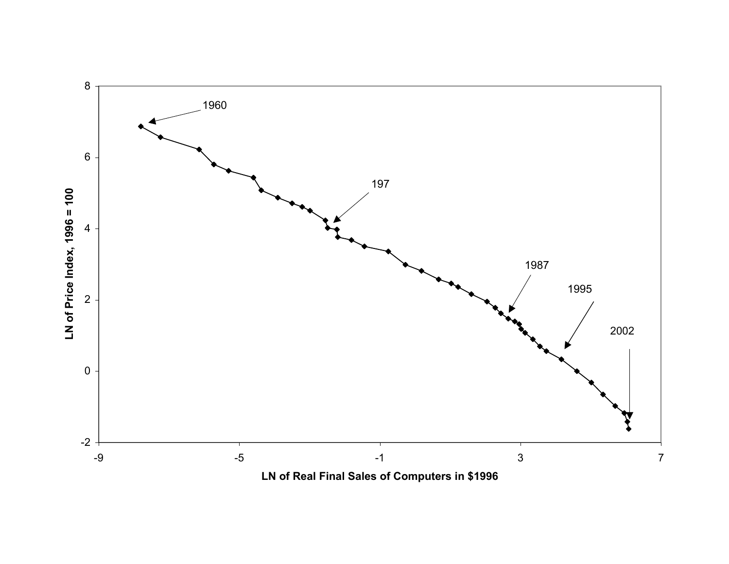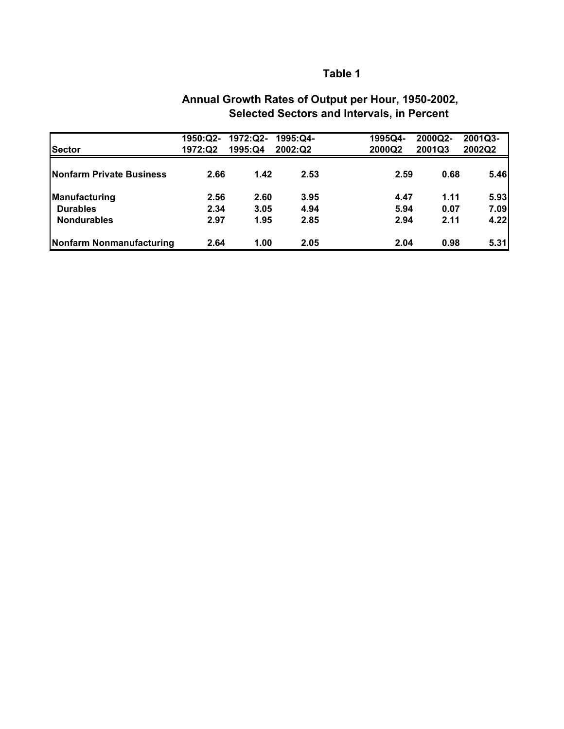| <b>Sector</b>            | 1950:Q2-<br>1972:Q2 | 1972:Q2-<br>1995:Q4 | 1995:Q4-<br>2002:Q2 | 1995Q4-<br>2000Q2 | 2000Q2-<br>2001Q3 | 2001Q3-<br>2002Q2 |
|--------------------------|---------------------|---------------------|---------------------|-------------------|-------------------|-------------------|
| Nonfarm Private Business | 2.66                | 1.42                | 2.53                | 2.59              | 0.68              | 5.46              |
| Manufacturing            | 2.56                | 2.60                | 3.95                | 4.47              | 1.11              | 5.93              |
| <b>Durables</b>          | 2.34                | 3.05                | 4.94                | 5.94              | 0.07              | 7.09              |
| <b>Nondurables</b>       | 2.97                | 1.95                | 2.85                | 2.94              | 2.11              | 4.22              |
| Nonfarm Nonmanufacturing | 2.64                | 1.00                | 2.05                | 2.04              | 0.98              | 5.31              |

# **Annual Growth Rates of Output per Hour, 1950-2002, Selected Sectors and Intervals, in Percent**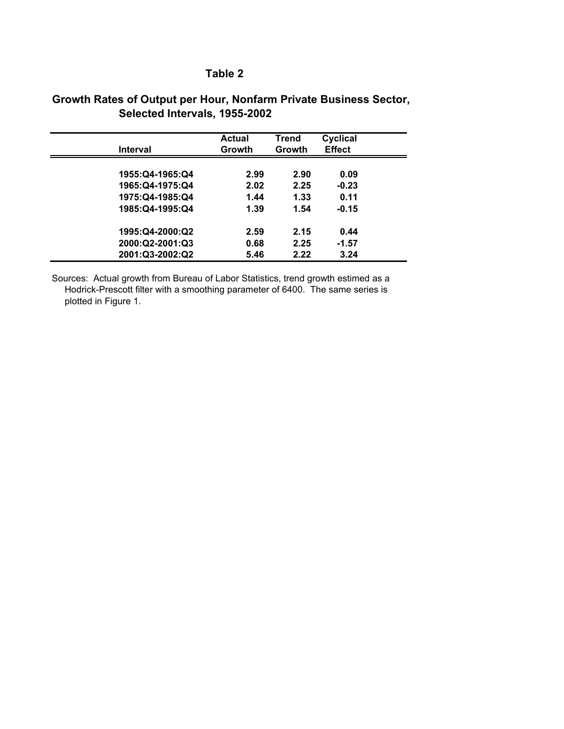# **Growth Rates of Output per Hour, Nonfarm Private Business Sector, Selected Intervals, 1955-2002**

| Interval          | <b>Actual</b><br>Growth | Trend<br>Growth | Cyclical<br><b>Effect</b> |  |
|-------------------|-------------------------|-----------------|---------------------------|--|
| 1955: Q4-1965: Q4 | 2.99                    | 2.90            | 0.09                      |  |
| 1965:Q4-1975:Q4   | 2.02                    | 2.25            | $-0.23$                   |  |
| 1975:Q4-1985:Q4   | 1.44                    | 1.33            | 0.11                      |  |
| 1985:Q4-1995:Q4   | 1.39                    | 1.54            | $-0.15$                   |  |
| 1995:Q4-2000:Q2   | 2.59                    | 2.15            | 0.44                      |  |
| 2000:Q2-2001:Q3   | 0.68                    | 2.25            | $-1.57$                   |  |
| 2001:Q3-2002:Q2   | 5.46                    | 2.22            | 3.24                      |  |

Sources: Actual growth from Bureau of Labor Statistics, trend growth estimed as a Hodrick-Prescott filter with a smoothing parameter of 6400. The same series is plotted in Figure 1.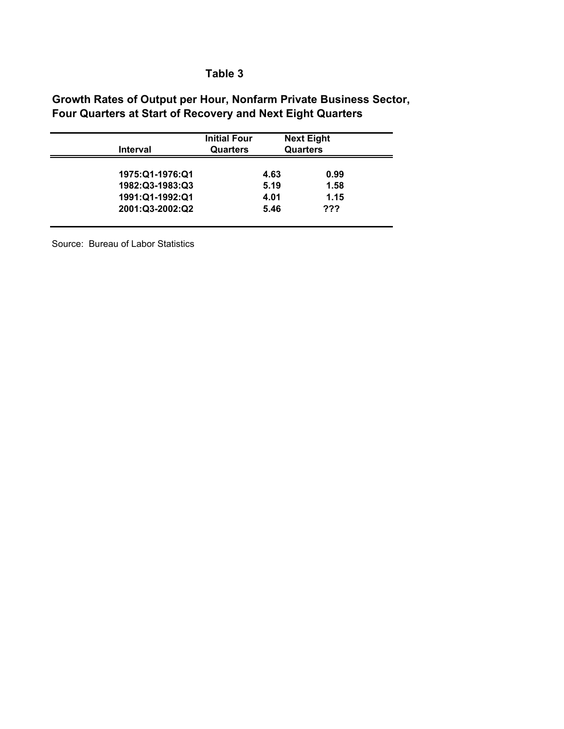# **Growth Rates of Output per Hour, Nonfarm Private Business Sector, Four Quarters at Start of Recovery and Next Eight Quarters**

| Interval        | <b>Initial Four</b><br>Quarters | <b>Next Eight</b><br><b>Quarters</b> |      |  |
|-----------------|---------------------------------|--------------------------------------|------|--|
| 1975:Q1-1976:Q1 |                                 | 4.63                                 | 0.99 |  |
| 1982:Q3-1983:Q3 |                                 | 5.19                                 | 1.58 |  |
| 1991:Q1-1992:Q1 |                                 | 4.01                                 | 1.15 |  |
| 2001:Q3-2002:Q2 |                                 | 5.46                                 | ???  |  |

Source: Bureau of Labor Statistics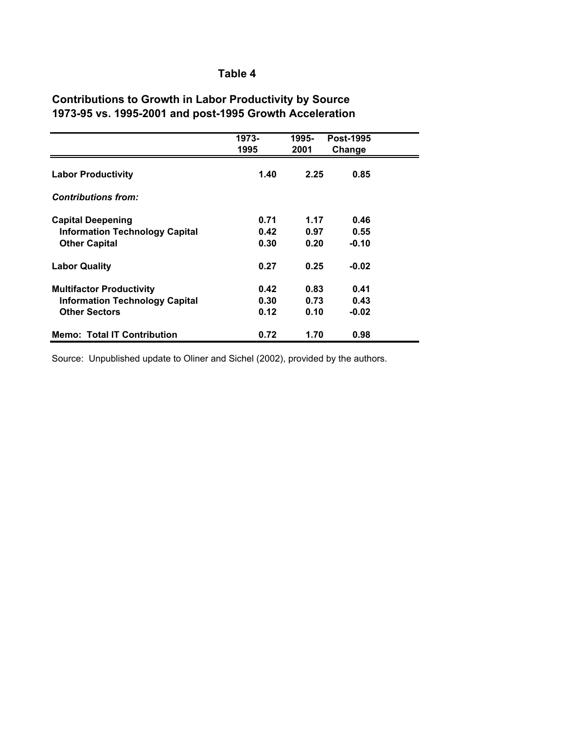# **Contributions to Growth in Labor Productivity by Source 1973-95 vs. 1995-2001 and post-1995 Growth Acceleration**

|                                       | 1973-<br>1995 | 1995-<br>2001 | <b>Post-1995</b><br>Change |  |
|---------------------------------------|---------------|---------------|----------------------------|--|
| <b>Labor Productivity</b>             | 1.40          | 2.25          | 0.85                       |  |
| <b>Contributions from:</b>            |               |               |                            |  |
| <b>Capital Deepening</b>              | 0.71          | 1.17          | 0.46                       |  |
| <b>Information Technology Capital</b> | 0.42          | 0.97          | 0.55                       |  |
| <b>Other Capital</b>                  | 0.30          | 0.20          | $-0.10$                    |  |
| <b>Labor Quality</b>                  | 0.27          | 0.25          | $-0.02$                    |  |
| <b>Multifactor Productivity</b>       | 0.42          | 0.83          | 0.41                       |  |
| <b>Information Technology Capital</b> | 0.30          | 0.73          | 0.43                       |  |
| <b>Other Sectors</b>                  | 0.12          | 0.10          | $-0.02$                    |  |
| <b>Memo: Total IT Contribution</b>    | 0.72          | 1.70          | 0.98                       |  |

Source: Unpublished update to Oliner and Sichel (2002), provided by the authors.